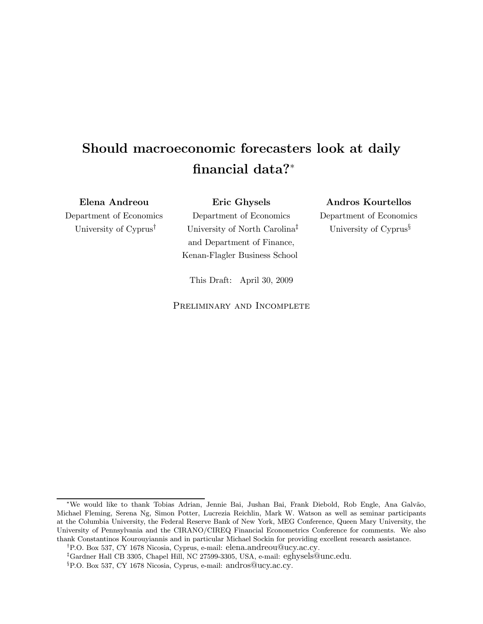# Should macroeconomic forecasters look at daily financial data?<sup>∗</sup>

Elena Andreou

Department of Economics University of Cyprus†

Eric Ghysels Department of Economics University of North Carolina‡ and Department of Finance, Kenan-Flagler Business School

Andros Kourtellos Department of Economics University of Cyprus<sup>§</sup>

This Draft: April 30, 2009

PRELIMINARY AND INCOMPLETE

<sup>∗</sup>We would like to thank Tobias Adrian, Jennie Bai, Jushan Bai, Frank Diebold, Rob Engle, Ana Galv˜ao, Michael Fleming, Serena Ng, Simon Potter, Lucrezia Reichlin, Mark W. Watson as well as seminar participants at the Columbia University, the Federal Reserve Bank of New York, MEG Conference, Queen Mary University, the University of Pennsylvania and the CIRANO/CIREQ Financial Econometrics Conference for comments. We also thank Constantinos Kourouyiannis and in particular Michael Sockin for providing excellent research assistance.

<sup>†</sup>P.O. Box 537, CY 1678 Nicosia, Cyprus, e-mail: elena.andreou@ucy.ac.cy.

<sup>‡</sup>Gardner Hall CB 3305, Chapel Hill, NC 27599-3305, USA, e-mail: eghysels@unc.edu.

<sup>§</sup>P.O. Box 537, CY 1678 Nicosia, Cyprus, e-mail: andros@ucy.ac.cy.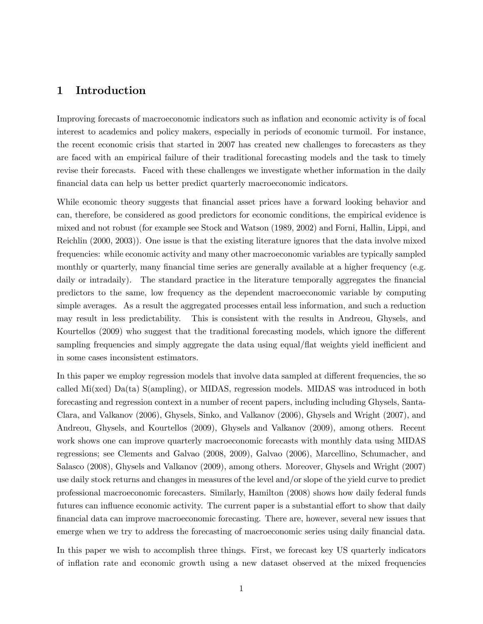## 1 Introduction

Improving forecasts of macroeconomic indicators such as inflation and economic activity is of focal interest to academics and policy makers, especially in periods of economic turmoil. For instance, the recent economic crisis that started in 2007 has created new challenges to forecasters as they are faced with an empirical failure of their traditional forecasting models and the task to timely revise their forecasts. Faced with these challenges we investigate whether information in the daily financial data can help us better predict quarterly macroeconomic indicators.

While economic theory suggests that financial asset prices have a forward looking behavior and can, therefore, be considered as good predictors for economic conditions, the empirical evidence is mixed and not robust (for example see Stock and Watson (1989, 2002) and Forni, Hallin, Lippi, and Reichlin (2000, 2003)). One issue is that the existing literature ignores that the data involve mixed frequencies: while economic activity and many other macroeconomic variables are typically sampled monthly or quarterly, many financial time series are generally available at a higher frequency (e.g. daily or intradaily). The standard practice in the literature temporally aggregates the financial predictors to the same, low frequency as the dependent macroeconomic variable by computing simple averages. As a result the aggregated processes entail less information, and such a reduction may result in less predictability. This is consistent with the results in Andreou, Ghysels, and Kourtellos (2009) who suggest that the traditional forecasting models, which ignore the different sampling frequencies and simply aggregate the data using equal/flat weights yield inefficient and in some cases inconsistent estimators.

In this paper we employ regression models that involve data sampled at different frequencies, the so called Mi(xed) Da(ta) S(ampling), or MIDAS, regression models. MIDAS was introduced in both forecasting and regression context in a number of recent papers, including including Ghysels, Santa-Clara, and Valkanov (2006), Ghysels, Sinko, and Valkanov (2006), Ghysels and Wright (2007), and Andreou, Ghysels, and Kourtellos (2009), Ghysels and Valkanov (2009), among others. Recent work shows one can improve quarterly macroeconomic forecasts with monthly data using MIDAS regressions; see Clements and Galvao (2008, 2009), Galvao (2006), Marcellino, Schumacher, and Salasco (2008), Ghysels and Valkanov (2009), among others. Moreover, Ghysels and Wright (2007) use daily stock returns and changes in measures of the level and/or slope of the yield curve to predict professional macroeconomic forecasters. Similarly, Hamilton (2008) shows how daily federal funds futures can influence economic activity. The current paper is a substantial effort to show that daily financial data can improve macroeconomic forecasting. There are, however, several new issues that emerge when we try to address the forecasting of macroeconomic series using daily financial data.

In this paper we wish to accomplish three things. First, we forecast key US quarterly indicators of inflation rate and economic growth using a new dataset observed at the mixed frequencies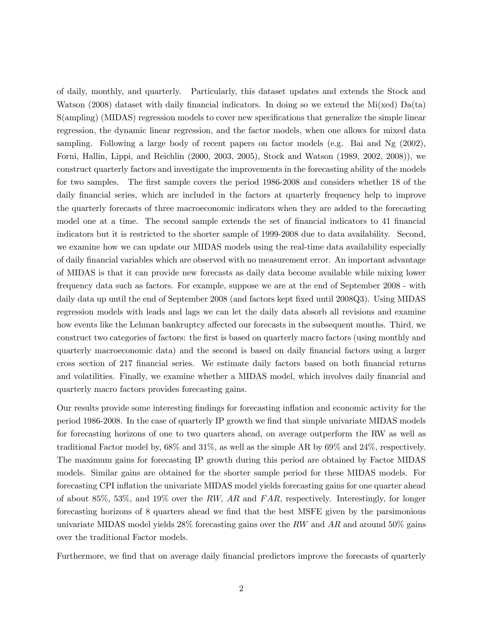of daily, monthly, and quarterly. Particularly, this dataset updates and extends the Stock and Watson (2008) dataset with daily financial indicators. In doing so we extend the Mi(xed)  $Da(ta)$ S(ampling) (MIDAS) regression models to cover new specifications that generalize the simple linear regression, the dynamic linear regression, and the factor models, when one allows for mixed data sampling. Following a large body of recent papers on factor models (e.g. Bai and Ng (2002), Forni, Hallin, Lippi, and Reichlin (2000, 2003, 2005), Stock and Watson (1989, 2002, 2008)), we construct quarterly factors and investigate the improvements in the forecasting ability of the models for two samples. The first sample covers the period 1986-2008 and considers whether 18 of the daily financial series, which are included in the factors at quarterly frequency help to improve the quarterly forecasts of three macroeconomic indicators when they are added to the forecasting model one at a time. The second sample extends the set of financial indicators to 41 financial indicators but it is restricted to the shorter sample of 1999-2008 due to data availability. Second, we examine how we can update our MIDAS models using the real-time data availability especially of daily financial variables which are observed with no measurement error. An important advantage of MIDAS is that it can provide new forecasts as daily data become available while mixing lower frequency data such as factors. For example, suppose we are at the end of September 2008 - with daily data up until the end of September 2008 (and factors kept fixed until 2008Q3). Using MIDAS regression models with leads and lags we can let the daily data absorb all revisions and examine how events like the Lehman bankruptcy affected our forecasts in the subsequent months. Third, we construct two categories of factors: the first is based on quarterly macro factors (using monthly and quarterly macroeconomic data) and the second is based on daily financial factors using a larger cross section of 217 financial series. We estimate daily factors based on both financial returns and volatilities. Finally, we examine whether a MIDAS model, which involves daily financial and quarterly macro factors provides forecasting gains.

Our results provide some interesting findings for forecasting inflation and economic activity for the period 1986-2008. In the case of quarterly IP growth we find that simple univariate MIDAS models for forecasting horizons of one to two quarters ahead, on average outperform the RW as well as traditional Factor model by, 68% and 31%, as well as the simple AR by 69% and 24%, respectively. The maximum gains for forecasting IP growth during this period are obtained by Factor MIDAS models. Similar gains are obtained for the shorter sample period for these MIDAS models. For forecasting CPI inflation the univariate MIDAS model yields forecasting gains for one quarter ahead of about 85%, 53%, and 19% over the RW, AR and FAR, respectively. Interestingly, for longer forecasting horizons of 8 quarters ahead we find that the best MSFE given by the parsimonious univariate MIDAS model yields  $28\%$  forecasting gains over the RW and AR and around 50% gains over the traditional Factor models.

Furthermore, we find that on average daily financial predictors improve the forecasts of quarterly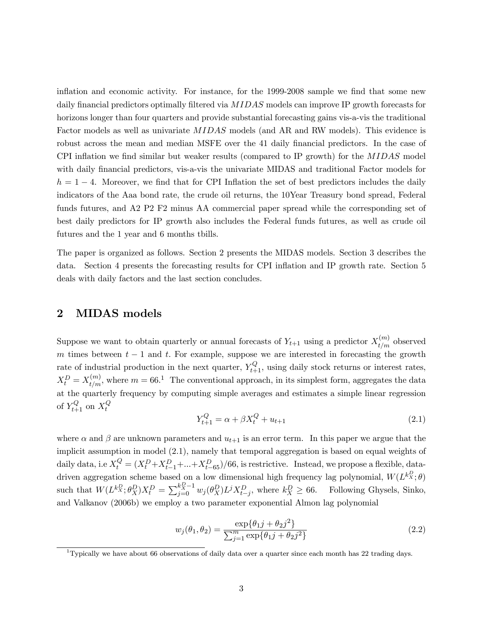inflation and economic activity. For instance, for the 1999-2008 sample we find that some new daily financial predictors optimally filtered via MIDAS models can improve IP growth forecasts for horizons longer than four quarters and provide substantial forecasting gains vis-a-vis the traditional Factor models as well as univariate MIDAS models (and AR and RW models). This evidence is robust across the mean and median MSFE over the 41 daily financial predictors. In the case of CPI inflation we find similar but weaker results (compared to IP growth) for the MIDAS model with daily financial predictors, vis-a-vis the univariate MIDAS and traditional Factor models for  $h = 1 - 4$ . Moreover, we find that for CPI Inflation the set of best predictors includes the daily indicators of the Aaa bond rate, the crude oil returns, the 10Year Treasury bond spread, Federal funds futures, and A2 P2 F2 minus AA commercial paper spread while the corresponding set of best daily predictors for IP growth also includes the Federal funds futures, as well as crude oil futures and the 1 year and 6 months tbills.

The paper is organized as follows. Section 2 presents the MIDAS models. Section 3 describes the data. Section 4 presents the forecasting results for CPI inflation and IP growth rate. Section 5 deals with daily factors and the last section concludes.

## 2 MIDAS models

Suppose we want to obtain quarterly or annual forecasts of  $Y_{t+1}$  using a predictor  $X_{t/m}^{(m)}$  observed m times between  $t - 1$  and t. For example, suppose we are interested in forecasting the growth rate of industrial production in the next quarter,  $Y_{t+1}^Q$ , using daily stock returns or interest rates,  $X_t^D = X_{t/m}^{(m)}$ , where  $m = 66.1$  The conventional approach, in its simplest form, aggregates the data at the quarterly frequency by computing simple averages and estimates a simple linear regression of  $Y_{t+1}^Q$  on  $X_t^Q$ 

$$
Y_{t+1}^Q = \alpha + \beta X_t^Q + u_{t+1}
$$
\n(2.1)

where  $\alpha$  and  $\beta$  are unknown parameters and  $u_{t+1}$  is an error term. In this paper we argue that the implicit assumption in model (2.1), namely that temporal aggregation is based on equal weights of daily data, i.e  $X_t^Q = (X_t^D + X_{t-1}^D + ... + X_{t-65}^D)/66$ , is restrictive. Instead, we propose a flexible, datadriven aggregation scheme based on a low dimensional high frequency lag polynomial,  $W(L^{k_x^D}; \theta)$ such that  $W(L^{kX}_{X}; \theta_X^D)X_t^D = \sum_{j=0}^{k_X^D-1} w_j(\theta_X^D) L^j X_{t-j}^D$ , where  $k_X^D \ge 66$ . Following Ghysels, Sinko, and Valkanov (2006b) we employ a two parameter exponential Almon lag polynomial

$$
w_j(\theta_1, \theta_2) = \frac{\exp{\{\theta_1 j + \theta_2 j^2\}}}{\sum_{j=1}^m \exp{\{\theta_1 j + \theta_2 j^2\}}}
$$
(2.2)

<sup>&</sup>lt;sup>1</sup>Typically we have about 66 observations of daily data over a quarter since each month has 22 trading days.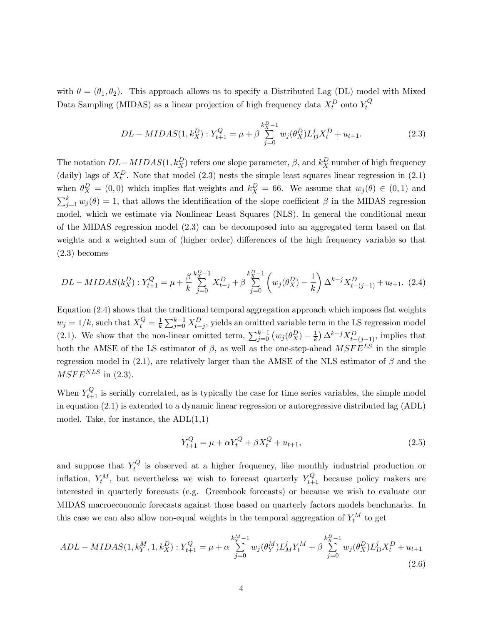with  $\theta = (\theta_1, \theta_2)$ . This approach allows us to specify a Distributed Lag (DL) model with Mixed Data Sampling (MIDAS) as a linear projection of high frequency data  $X_t^D$  onto  $Y_t^Q$ 

$$
DL-MIDAS(1,k_X^D): Y_{t+1}^Q = \mu + \beta \sum_{j=0}^{k_X^D-1} w_j(\theta_X^D) L_D^j X_t^D + u_{t+1}.
$$
 (2.3)

The notation  $DL-MIDAS(1, k_X^D)$  refers one slope parameter,  $\beta$ , and  $k_X^D$  number of high frequency (daily) lags of  $X_t^D$ . Note that model (2.3) nests the simple least squares linear regression in (2.1) when  $\theta_X^D = (0,0)$  which implies flat-weights and  $k_X^D = 66$ . We assume that  $w_j(\theta) \in (0,1)$  and  $\sum_{j=1}^{k} w_j(\theta) = 1$ , that allows the identification of the slope coefficient  $\beta$  in the MIDAS regression model, which we estimate via Nonlinear Least Squares (NLS). In general the conditional mean of the MIDAS regression model (2.3) can be decomposed into an aggregated term based on flat weights and a weighted sum of (higher order) differences of the high frequency variable so that (2.3) becomes

$$
DL-MIDAS(k_X^D): Y_{t+1}^Q = \mu + \frac{\beta}{k} \sum_{j=0}^{k_X^D-1} X_{t-j}^D + \beta \sum_{j=0}^{k_X^D-1} \left( w_j(\theta_X^D) - \frac{1}{k} \right) \Delta^{k-j} X_{t-(j-1)}^D + u_{t+1}. \tag{2.4}
$$

Equation (2.4) shows that the traditional temporal aggregation approach which imposes flat weights  $w_j = 1/k$ , such that  $X_t^Q = \frac{1}{k} \sum_{j=0}^{k-1} X_{t-j}^D$ , yields an omitted variable term in the LS regression model (2.1). We show that the non-linear omitted term,  $\sum_{j=0}^{k-1} (w_j(\theta_X^D) - \frac{1}{k}) \Delta^{k-j} X_{t-(j-1)}^D$ , implies that both the AMSE of the LS estimator of  $\beta$ , as well as the one-step-ahead  $MSFE^{LS}$  in the simple regression model in (2.1), are relatively larger than the AMSE of the NLS estimator of  $\beta$  and the  $MSFE<sup>NLS</sup>$  in (2.3).

When  $Y_{t+1}^Q$  is serially correlated, as is typically the case for time series variables, the simple model in equation (2.1) is extended to a dynamic linear regression or autoregressive distributed lag (ADL) model. Take, for instance, the  $ADL(1,1)$ 

$$
Y_{t+1}^Q = \mu + \alpha Y_t^Q + \beta X_t^Q + u_{t+1},\tag{2.5}
$$

and suppose that  $Y_t^Q$  is observed at a higher frequency, like monthly industrial production or inflation,  $Y_t^M$ , but nevertheless we wish to forecast quarterly  $Y_{t+1}^Q$  because policy makers are interested in quarterly forecasts (e.g. Greenbook forecasts) or because we wish to evaluate our MIDAS macroeconomic forecasts against those based on quarterly factors models benchmarks. In this case we can also allow non-equal weights in the temporal aggregation of  $Y_t^M$  to get

$$
ADL - MIDAS(1, k_Y^M, 1, k_X^D) : Y_{t+1}^Q = \mu + \alpha \sum_{j=0}^{k_Y^M - 1} w_j(\theta_Y^M) L_M^j Y_t^M + \beta \sum_{j=0}^{k_X^D - 1} w_j(\theta_X^D) L_D^j X_t^D + u_{t+1}
$$
\n(2.6)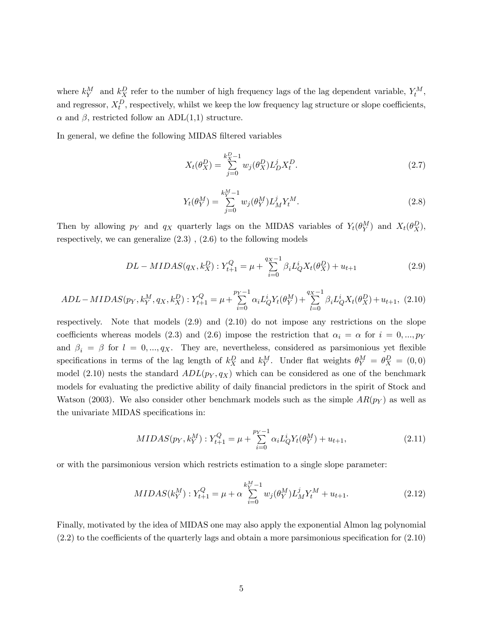where  $k_Y^M$  and  $k_X^D$  refer to the number of high frequency lags of the lag dependent variable,  $Y_t^M$ , and regressor,  $X_t^D$ , respectively, whilst we keep the low frequency lag structure or slope coefficients,  $\alpha$  and  $\beta$ , restricted follow an ADL(1,1) structure.

In general, we define the following MIDAS filtered variables

$$
X_t(\theta_X^D) = \sum_{j=0}^{k_X^D - 1} w_j(\theta_X^D) L_D^j X_t^D.
$$
\n(2.7)

$$
Y_t(\theta_Y^M) = \sum_{j=0}^{k_Y^M - 1} w_j(\theta_Y^M) L_M^j Y_t^M.
$$
\n(2.8)

Then by allowing  $p_Y$  and  $q_X$  quarterly lags on the MIDAS variables of  $Y_t(\theta_Y^M)$  and  $X_t(\theta_X^D)$ , respectively, we can generalize  $(2.3)$ ,  $(2.6)$  to the following models

$$
DL-MIDAS(q_X, k_X^D): Y_{t+1}^Q = \mu + \sum_{i=0}^{q_X - 1} \beta_i L_Q^i X_t(\theta_X^D) + u_{t+1}
$$
\n(2.9)

$$
ADL-MIDAS(p_Y, k_Y^M, q_X, k_X^D): Y_{t+1}^Q = \mu + \sum_{i=0}^{p_Y - 1} \alpha_i L_Q^i Y_t(\theta_Y^M) + \sum_{l=0}^{q_X - 1} \beta_i L_Q^i X_t(\theta_X^D) + u_{t+1}, \tag{2.10}
$$

respectively. Note that models (2.9) and (2.10) do not impose any restrictions on the slope coefficients whereas models (2.3) and (2.6) impose the restriction that  $\alpha_i = \alpha$  for  $i = 0, ..., p_Y$ and  $\beta_i = \beta$  for  $l = 0, ..., q_X$ . They are, nevertheless, considered as parsimonious yet flexible specifications in terms of the lag length of  $k_X^D$  and  $k_Y^M$ . Under flat weights  $\theta_Y^M = \theta_X^D = (0,0)$ model (2.10) nests the standard  $ADL(p<sub>Y</sub>, q<sub>X</sub>)$  which can be considered as one of the benchmark models for evaluating the predictive ability of daily financial predictors in the spirit of Stock and Watson (2003). We also consider other benchmark models such as the simple  $AR(p<sub>Y</sub>)$  as well as the univariate MIDAS specifications in:

$$
MIDAS(p_Y, k_Y^M): Y_{t+1}^Q = \mu + \sum_{i=0}^{p_Y - 1} \alpha_i L_Q^i Y_t(\theta_Y^M) + u_{t+1},
$$
\n(2.11)

or with the parsimonious version which restricts estimation to a single slope parameter:

$$
MIDAS(k_Y^M): Y_{t+1}^Q = \mu + \alpha \sum_{i=0}^{k_Y^M - 1} w_j(\theta_Y^M) L_M^j Y_t^M + u_{t+1}.
$$
 (2.12)

Finally, motivated by the idea of MIDAS one may also apply the exponential Almon lag polynomial (2.2) to the coefficients of the quarterly lags and obtain a more parsimonious specification for (2.10)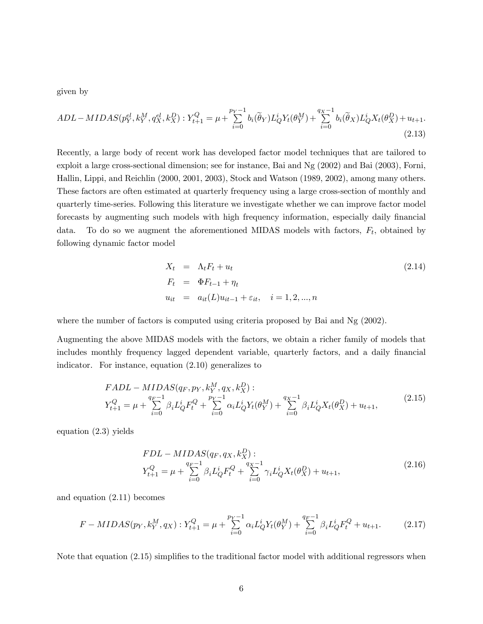given by

$$
ADL-MIDAS(p_Y^{el}, k_Y^M, q_X^{el}, k_X^D): Y_{t+1}^Q = \mu + \sum_{i=0}^{p_Y - 1} b_i(\widetilde{\theta}_Y) L_Q^i Y_t(\theta_Y^M) + \sum_{i=0}^{q_X - 1} b_i(\widetilde{\theta}_X) L_Q^i X_t(\theta_X^D) + u_{t+1}.
$$
\n(2.13)

Recently, a large body of recent work has developed factor model techniques that are tailored to exploit a large cross-sectional dimension; see for instance, Bai and Ng (2002) and Bai (2003), Forni, Hallin, Lippi, and Reichlin (2000, 2001, 2003), Stock and Watson (1989, 2002), among many others. These factors are often estimated at quarterly frequency using a large cross-section of monthly and quarterly time-series. Following this literature we investigate whether we can improve factor model forecasts by augmenting such models with high frequency information, especially daily financial data. To do so we augment the aforementioned MIDAS models with factors,  $F_t$ , obtained by following dynamic factor model

$$
X_t = \Lambda_t F_t + u_t
$$
  
\n
$$
F_t = \Phi F_{t-1} + \eta_t
$$
  
\n
$$
u_{it} = a_{it}(L)u_{it-1} + \varepsilon_{it}, \quad i = 1, 2, ..., n
$$
\n(2.14)

where the number of factors is computed using criteria proposed by Bai and Ng (2002).

Augmenting the above MIDAS models with the factors, we obtain a richer family of models that includes monthly frequency lagged dependent variable, quarterly factors, and a daily financial indicator. For instance, equation (2.10) generalizes to

$$
FADL - MIDAS(q_F, p_Y, k_Y^M, q_X, k_X^D):
$$
  
\n
$$
Y_{t+1}^Q = \mu + \sum_{i=0}^{q_F - 1} \beta_i L_Q^i F_t^Q + \sum_{i=0}^{p_Y - 1} \alpha_i L_Q^i Y_t(\theta_Y^M) + \sum_{i=0}^{q_X - 1} \beta_i L_Q^i X_t(\theta_X^D) + u_{t+1},
$$
\n(2.15)

equation (2.3) yields

$$
FDL - MIDAS(q_F, q_X, k_X^D):
$$
  
\n
$$
Y_{t+1}^Q = \mu + \sum_{i=0}^{q_F - 1} \beta_i L_Q^i F_t^Q + \sum_{i=0}^{q_X - 1} \gamma_i L_Q^i X_t(\theta_X^D) + u_{t+1},
$$
\n(2.16)

and equation (2.11) becomes

$$
F - MIDAS(p_Y, k_Y^M, q_X) : Y_{t+1}^Q = \mu + \sum_{i=0}^{p_Y - 1} \alpha_i L_Q^i Y_t(\theta_Y^M) + \sum_{i=0}^{q_F - 1} \beta_i L_Q^i F_t^Q + u_{t+1}.
$$
 (2.17)

Note that equation (2.15) simplifies to the traditional factor model with additional regressors when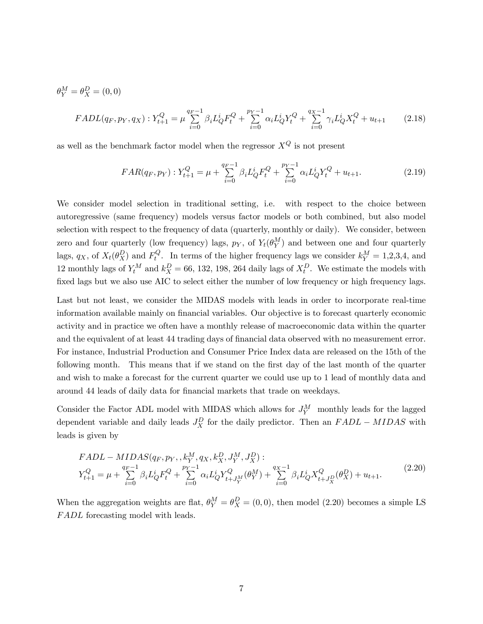$$
\theta_Y^M = \theta_X^D = (0, 0)
$$
  
\n
$$
FADL(q_F, p_Y, q_X) : Y_{t+1}^Q = \mu \sum_{i=0}^{q_F - 1} \beta_i L_Q^i F_t^Q + \sum_{i=0}^{p_Y - 1} \alpha_i L_Q^i Y_t^Q + \sum_{i=0}^{q_X - 1} \gamma_i L_Q^i X_t^Q + u_{t+1}
$$
 (2.18)

as well as the benchmark factor model when the regressor  $X^Q$  is not present

$$
FAR(q_F, p_Y) : Y_{t+1}^Q = \mu + \sum_{i=0}^{q_F - 1} \beta_i L_Q^i F_t^Q + \sum_{i=0}^{p_Y - 1} \alpha_i L_Q^i Y_t^Q + u_{t+1}.
$$
 (2.19)

We consider model selection in traditional setting, i.e. with respect to the choice between autoregressive (same frequency) models versus factor models or both combined, but also model selection with respect to the frequency of data (quarterly, monthly or daily). We consider, between zero and four quarterly (low frequency) lags,  $p_Y$ , of  $Y_t(\theta_Y^M)$  and between one and four quarterly lags,  $q_X$ , of  $X_t(\theta_X^D)$  and  $F_t^Q$ . In terms of the higher frequency lags we consider  $k_Y^M = 1,2,3,4$ , and 12 monthly lags of  $Y_t^M$  and  $k_X^D = 66$ , 132, 198, 264 daily lags of  $X_t^D$ . We estimate the models with fixed lags but we also use AIC to select either the number of low frequency or high frequency lags.

Last but not least, we consider the MIDAS models with leads in order to incorporate real-time information available mainly on financial variables. Our objective is to forecast quarterly economic activity and in practice we often have a monthly release of macroeconomic data within the quarter and the equivalent of at least 44 trading days of financial data observed with no measurement error. For instance, Industrial Production and Consumer Price Index data are released on the 15th of the following month. This means that if we stand on the first day of the last month of the quarter and wish to make a forecast for the current quarter we could use up to 1 lead of monthly data and around 44 leads of daily data for financial markets that trade on weekdays.

Consider the Factor ADL model with MIDAS which allows for  $J_Y^M$  monthly leads for the lagged dependent variable and daily leads  $J_X^D$  for the daily predictor. Then an  $FADL - MIDAS$  with leads is given by

$$
FADL - MIDAS(q_F, p_Y, , k_Y^M, q_X, k_X^D, J_Y^M, J_X^D):
$$
\n
$$
Y_{t+1}^Q = \mu + \sum_{i=0}^{q_F - 1} \beta_i L_Q^i F_t^Q + \sum_{i=0}^{p_Y - 1} \alpha_i L_Q^i Y_{t+J_Y^M}^Q(\theta_Y^M) + \sum_{i=0}^{q_X - 1} \beta_i L_Q^i X_{t+J_X^D}^Q(\theta_X^D) + u_{t+1}.
$$
\n(2.20)

When the aggregation weights are flat,  $\theta_Y^M = \theta_X^D = (0,0)$ , then model  $(2.20)$  becomes a simple LS FADL forecasting model with leads.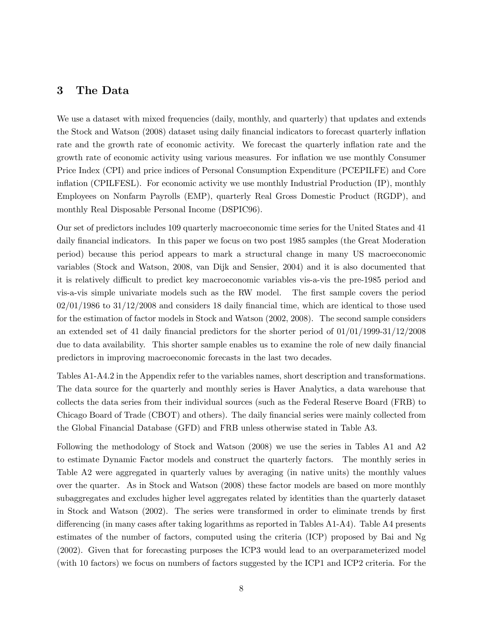## 3 The Data

We use a dataset with mixed frequencies (daily, monthly, and quarterly) that updates and extends the Stock and Watson (2008) dataset using daily financial indicators to forecast quarterly inflation rate and the growth rate of economic activity. We forecast the quarterly inflation rate and the growth rate of economic activity using various measures. For inflation we use monthly Consumer Price Index (CPI) and price indices of Personal Consumption Expenditure (PCEPILFE) and Core inflation (CPILFESL). For economic activity we use monthly Industrial Production (IP), monthly Employees on Nonfarm Payrolls (EMP), quarterly Real Gross Domestic Product (RGDP), and monthly Real Disposable Personal Income (DSPIC96).

Our set of predictors includes 109 quarterly macroeconomic time series for the United States and 41 daily financial indicators. In this paper we focus on two post 1985 samples (the Great Moderation period) because this period appears to mark a structural change in many US macroeconomic variables (Stock and Watson, 2008, van Dijk and Sensier, 2004) and it is also documented that it is relatively difficult to predict key macroeconomic variables vis-a-vis the pre-1985 period and vis-a-vis simple univariate models such as the RW model. The first sample covers the period 02/01/1986 to 31/12/2008 and considers 18 daily financial time, which are identical to those used for the estimation of factor models in Stock and Watson (2002, 2008). The second sample considers an extended set of 41 daily financial predictors for the shorter period of 01/01/1999-31/12/2008 due to data availability. This shorter sample enables us to examine the role of new daily financial predictors in improving macroeconomic forecasts in the last two decades.

Tables A1-A4.2 in the Appendix refer to the variables names, short description and transformations. The data source for the quarterly and monthly series is Haver Analytics, a data warehouse that collects the data series from their individual sources (such as the Federal Reserve Board (FRB) to Chicago Board of Trade (CBOT) and others). The daily financial series were mainly collected from the Global Financial Database (GFD) and FRB unless otherwise stated in Table A3.

Following the methodology of Stock and Watson (2008) we use the series in Tables A1 and A2 to estimate Dynamic Factor models and construct the quarterly factors. The monthly series in Table A2 were aggregated in quarterly values by averaging (in native units) the monthly values over the quarter. As in Stock and Watson (2008) these factor models are based on more monthly subaggregates and excludes higher level aggregates related by identities than the quarterly dataset in Stock and Watson (2002). The series were transformed in order to eliminate trends by first differencing (in many cases after taking logarithms as reported in Tables A1-A4). Table A4 presents estimates of the number of factors, computed using the criteria (ICP) proposed by Bai and Ng (2002). Given that for forecasting purposes the ICP3 would lead to an overparameterized model (with 10 factors) we focus on numbers of factors suggested by the ICP1 and ICP2 criteria. For the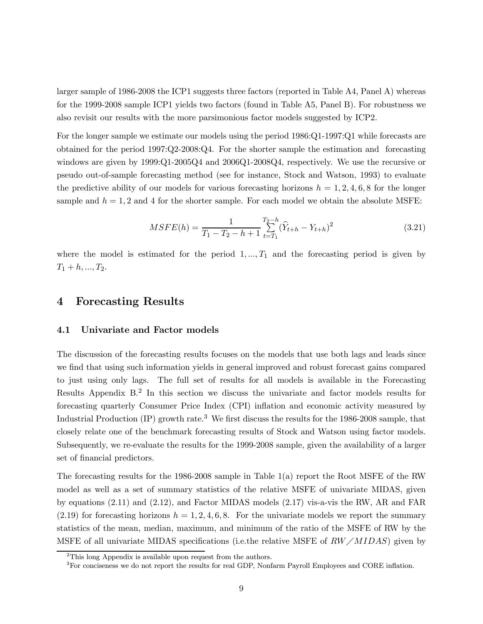larger sample of 1986-2008 the ICP1 suggests three factors (reported in Table A4, Panel A) whereas for the 1999-2008 sample ICP1 yields two factors (found in Table A5, Panel B). For robustness we also revisit our results with the more parsimonious factor models suggested by ICP2.

For the longer sample we estimate our models using the period 1986:Q1-1997:Q1 while forecasts are obtained for the period 1997:Q2-2008:Q4. For the shorter sample the estimation and forecasting windows are given by 1999:Q1-2005Q4 and 2006Q1-2008Q4, respectively. We use the recursive or pseudo out-of-sample forecasting method (see for instance, Stock and Watson, 1993) to evaluate the predictive ability of our models for various forecasting horizons  $h = 1, 2, 4, 6, 8$  for the longer sample and  $h = 1, 2$  and 4 for the shorter sample. For each model we obtain the absolute MSFE:

$$
MSFE(h) = \frac{1}{T_1 - T_2 - h + 1} \sum_{t=T_1}^{T_2 - h} (\widehat{Y}_{t+h} - Y_{t+h})^2
$$
\n(3.21)

where the model is estimated for the period  $1, \ldots, T_1$  and the forecasting period is given by  $T_1 + h, ..., T_2.$ 

## 4 Forecasting Results

## 4.1 Univariate and Factor models

The discussion of the forecasting results focuses on the models that use both lags and leads since we find that using such information yields in general improved and robust forecast gains compared to just using only lags. The full set of results for all models is available in the Forecasting Results Appendix B.<sup>2</sup> In this section we discuss the univariate and factor models results for forecasting quarterly Consumer Price Index (CPI) inflation and economic activity measured by Industrial Production  $(IP)$  growth rate.<sup>3</sup> We first discuss the results for the 1986-2008 sample, that closely relate one of the benchmark forecasting results of Stock and Watson using factor models. Subsequently, we re-evaluate the results for the 1999-2008 sample, given the availability of a larger set of financial predictors.

The forecasting results for the 1986-2008 sample in Table 1(a) report the Root MSFE of the RW model as well as a set of summary statistics of the relative MSFE of univariate MIDAS, given by equations (2.11) and (2.12), and Factor MIDAS models (2.17) vis-a-vis the RW, AR and FAR  $(2.19)$  for forecasting horizons  $h = 1, 2, 4, 6, 8$ . For the univariate models we report the summary statistics of the mean, median, maximum, and minimum of the ratio of the MSFE of RW by the MSFE of all univariate MIDAS specifications (i.e. the relative MSFE of  $RW/MIDAS$ ) given by

 $2$ This long Appendix is available upon request from the authors.

<sup>&</sup>lt;sup>3</sup>For conciseness we do not report the results for real GDP, Nonfarm Payroll Employees and CORE inflation.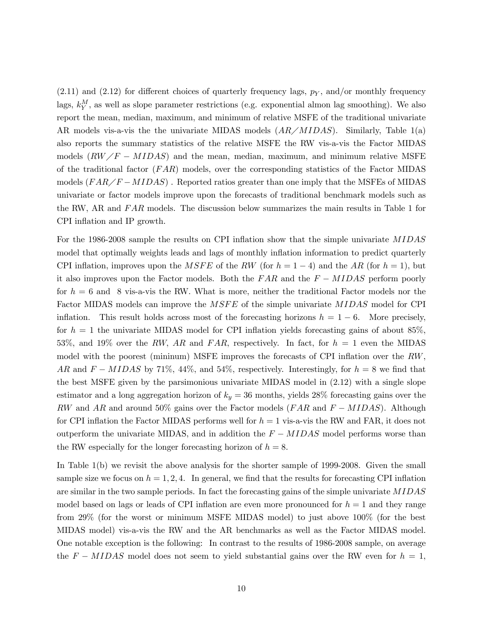$(2.11)$  and  $(2.12)$  for different choices of quarterly frequency lags,  $p<sub>Y</sub>$ , and/or monthly frequency lags,  $k_Y^M$ , as well as slope parameter restrictions (e.g. exponential almon lag smoothing). We also report the mean, median, maximum, and minimum of relative MSFE of the traditional univariate AR models vis-a-vis the the univariate MIDAS models  $(AR/MIDAS)$ . Similarly, Table 1(a) also reports the summary statistics of the relative MSFE the RW vis-a-vis the Factor MIDAS models  $(RW/F - MIDAS)$  and the mean, median, maximum, and minimum relative MSFE of the traditional factor  $(FAR)$  models, over the corresponding statistics of the Factor MIDAS models  $(FAR/F-MIDAS)$ . Reported ratios greater than one imply that the MSFEs of MIDAS univariate or factor models improve upon the forecasts of traditional benchmark models such as the RW, AR and FAR models. The discussion below summarizes the main results in Table 1 for CPI inflation and IP growth.

For the 1986-2008 sample the results on CPI inflation show that the simple univariate MIDAS model that optimally weights leads and lags of monthly inflation information to predict quarterly CPI inflation, improves upon the MSFE of the RW (for  $h = 1 - 4$ ) and the AR (for  $h = 1$ ), but it also improves upon the Factor models. Both the  $FAR$  and the  $F - MIDAS$  perform poorly for  $h = 6$  and 8 vis-a-vis the RW. What is more, neither the traditional Factor models nor the Factor MIDAS models can improve the MSFE of the simple univariate MIDAS model for CPI inflation. This result holds across most of the forecasting horizons  $h = 1 - 6$ . More precisely, for  $h = 1$  the univariate MIDAS model for CPI inflation yields forecasting gains of about 85%, 53%, and 19% over the RW, AR and FAR, respectively. In fact, for  $h = 1$  even the MIDAS model with the poorest (mininum) MSFE improves the forecasts of CPI inflation over the RW, AR and  $F - MIDAS$  by 71%, 44%, and 54%, respectively. Interestingly, for  $h = 8$  we find that the best MSFE given by the parsimonious univariate MIDAS model in (2.12) with a single slope estimator and a long aggregation horizon of  $k_y = 36$  months, yields 28% forecasting gains over the RW and AR and around 50% gains over the Factor models (FAR and  $F - MIDAS$ ). Although for CPI inflation the Factor MIDAS performs well for  $h = 1$  vis-a-vis the RW and FAR, it does not outperform the univariate MIDAS, and in addition the  $F - MIDAS$  model performs worse than the RW especially for the longer forecasting horizon of  $h = 8$ .

In Table 1(b) we revisit the above analysis for the shorter sample of 1999-2008. Given the small sample size we focus on  $h = 1, 2, 4$ . In general, we find that the results for forecasting CPI inflation are similar in the two sample periods. In fact the forecasting gains of the simple univariate MIDAS model based on lags or leads of CPI inflation are even more pronounced for  $h = 1$  and they range from 29% (for the worst or minimum MSFE MIDAS model) to just above 100% (for the best MIDAS model) vis-a-vis the RW and the AR benchmarks as well as the Factor MIDAS model. One notable exception is the following: In contrast to the results of 1986-2008 sample, on average the  $F - MIDAS$  model does not seem to yield substantial gains over the RW even for  $h = 1$ ,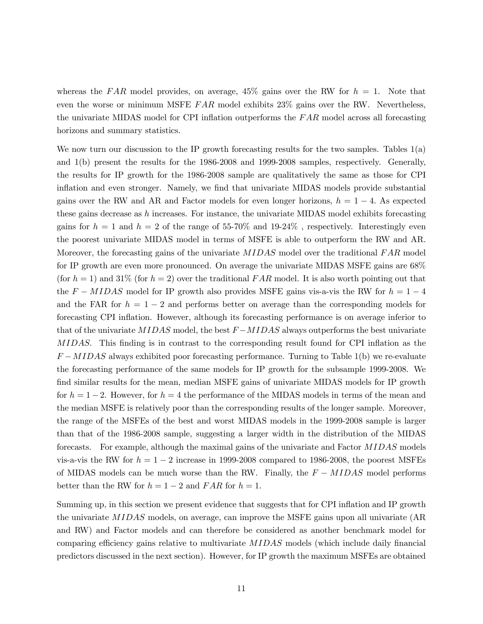whereas the FAR model provides, on average,  $45\%$  gains over the RW for  $h = 1$ . Note that even the worse or minimum MSFE  $FAR$  model exhibits  $23\%$  gains over the RW. Nevertheless, the univariate MIDAS model for CPI inflation outperforms the  $FAR$  model across all forecasting horizons and summary statistics.

We now turn our discussion to the IP growth forecasting results for the two samples. Tables 1(a) and 1(b) present the results for the 1986-2008 and 1999-2008 samples, respectively. Generally, the results for IP growth for the 1986-2008 sample are qualitatively the same as those for CPI inflation and even stronger. Namely, we find that univariate MIDAS models provide substantial gains over the RW and AR and Factor models for even longer horizons,  $h = 1 - 4$ . As expected these gains decrease as  $h$  increases. For instance, the univariate MIDAS model exhibits forecasting gains for  $h = 1$  and  $h = 2$  of the range of 55-70% and 19-24%, respectively. Interestingly even the poorest univariate MIDAS model in terms of MSFE is able to outperform the RW and AR. Moreover, the forecasting gains of the univariate MIDAS model over the traditional FAR model for IP growth are even more pronounced. On average the univariate MIDAS MSFE gains are 68% (for  $h = 1$ ) and 31% (for  $h = 2$ ) over the traditional FAR model. It is also worth pointing out that the  $F - MIDAS$  model for IP growth also provides MSFE gains vis-a-vis the RW for  $h = 1 - 4$ and the FAR for  $h = 1 - 2$  and performs better on average than the corresponding models for forecasting CPI inflation. However, although its forecasting performance is on average inferior to that of the univariate MIDAS model, the best  $F - MIDAS$  always outperforms the best univariate MIDAS. This finding is in contrast to the corresponding result found for CPI inflation as the  $F-MIDAS$  always exhibited poor forecasting performance. Turning to Table 1(b) we re-evaluate the forecasting performance of the same models for IP growth for the subsample 1999-2008. We find similar results for the mean, median MSFE gains of univariate MIDAS models for IP growth for  $h = 1 - 2$ . However, for  $h = 4$  the performance of the MIDAS models in terms of the mean and the median MSFE is relatively poor than the corresponding results of the longer sample. Moreover, the range of the MSFEs of the best and worst MIDAS models in the 1999-2008 sample is larger than that of the 1986-2008 sample, suggesting a larger width in the distribution of the MIDAS forecasts. For example, although the maximal gains of the univariate and Factor MIDAS models vis-a-vis the RW for  $h = 1 - 2$  increase in 1999-2008 compared to 1986-2008, the poorest MSFEs of MIDAS models can be much worse than the RW. Finally, the  $F - MIDAS$  model performs better than the RW for  $h = 1 - 2$  and  $FAR$  for  $h = 1$ .

Summing up, in this section we present evidence that suggests that for CPI inflation and IP growth the univariate MIDAS models, on average, can improve the MSFE gains upon all univariate (AR and RW) and Factor models and can therefore be considered as another benchmark model for comparing efficiency gains relative to multivariate MIDAS models (which include daily financial predictors discussed in the next section). However, for IP growth the maximum MSFEs are obtained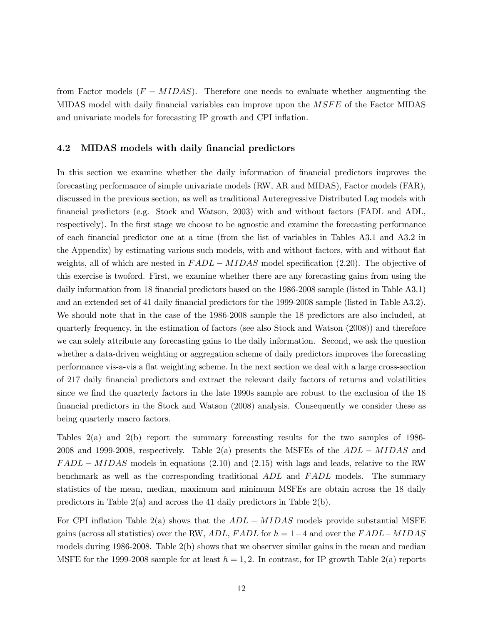from Factor models  $(F - MIDAS)$ . Therefore one needs to evaluate whether augmenting the MIDAS model with daily financial variables can improve upon the *MSFE* of the Factor MIDAS and univariate models for forecasting IP growth and CPI inflation.

#### 4.2 MIDAS models with daily financial predictors

In this section we examine whether the daily information of financial predictors improves the forecasting performance of simple univariate models (RW, AR and MIDAS), Factor models (FAR), discussed in the previous section, as well as traditional Auteregressive Distributed Lag models with financial predictors (e.g. Stock and Watson, 2003) with and without factors (FADL and ADL, respectively). In the first stage we choose to be agnostic and examine the forecasting performance of each financial predictor one at a time (from the list of variables in Tables A3.1 and A3.2 in the Appendix) by estimating various such models, with and without factors, with and without flat weights, all of which are nested in  $FADL - MIDAS$  model specification (2.20). The objective of this exercise is twoford. First, we examine whether there are any forecasting gains from using the daily information from 18 financial predictors based on the 1986-2008 sample (listed in Table A3.1) and an extended set of 41 daily financial predictors for the 1999-2008 sample (listed in Table A3.2). We should note that in the case of the 1986-2008 sample the 18 predictors are also included, at quarterly frequency, in the estimation of factors (see also Stock and Watson (2008)) and therefore we can solely attribute any forecasting gains to the daily information. Second, we ask the question whether a data-driven weighting or aggregation scheme of daily predictors improves the forecasting performance vis-a-vis a flat weighting scheme. In the next section we deal with a large cross-section of 217 daily financial predictors and extract the relevant daily factors of returns and volatilities since we find the quarterly factors in the late 1990s sample are robust to the exclusion of the 18 financial predictors in the Stock and Watson (2008) analysis. Consequently we consider these as being quarterly macro factors.

Tables 2(a) and 2(b) report the summary forecasting results for the two samples of 1986- 2008 and 1999-2008, respectively. Table 2(a) presents the MSFEs of the  $ADL - MIDAS$  and  $FADL - MIDAS$  models in equations (2.10) and (2.15) with lags and leads, relative to the RW benchmark as well as the corresponding traditional ADL and FADL models. The summary statistics of the mean, median, maximum and minimum MSFEs are obtain across the 18 daily predictors in Table 2(a) and across the 41 daily predictors in Table 2(b).

For CPI inflation Table 2(a) shows that the  $ADL - MIDAS$  models provide substantial MSFE gains (across all statistics) over the RW, ADL, FADL for  $h = 1-4$  and over the FADL–MIDAS models during  $1986-2008$ . Table  $2(b)$  shows that we observer similar gains in the mean and median MSFE for the 1999-2008 sample for at least  $h = 1, 2$ . In contrast, for IP growth Table 2(a) reports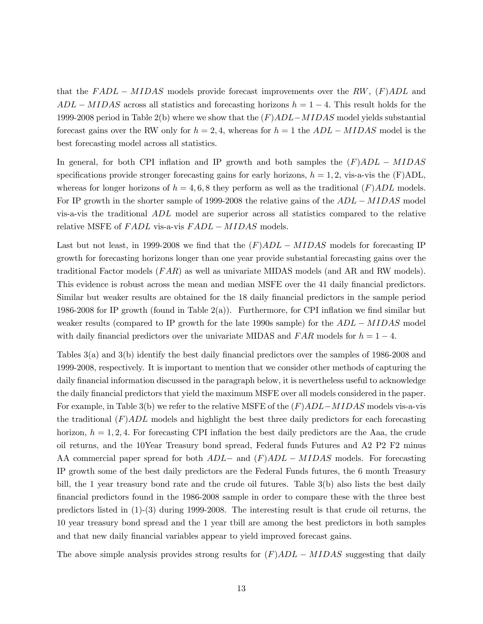that the  $FADL - MIDAS$  models provide forecast improvements over the RW,  $(F)ADL$  and  $ADL - MIDAS$  across all statistics and forecasting horizons  $h = 1 - 4$ . This result holds for the 1999-2008 period in Table 2(b) where we show that the (F)ADL−MIDAS model yields substantial forecast gains over the RW only for  $h = 2, 4$ , whereas for  $h = 1$  the  $ADL - MIDAS$  model is the best forecasting model across all statistics.

In general, for both CPI inflation and IP growth and both samples the  $(F)ADL - MIDAS$ specifications provide stronger forecasting gains for early horizons,  $h = 1, 2$ , vis-a-vis the (F)ADL, whereas for longer horizons of  $h = 4, 6, 8$  they perform as well as the traditional  $(F)ADL$  models. For IP growth in the shorter sample of 1999-2008 the relative gains of the ADL − MIDAS model vis-a-vis the traditional ADL model are superior across all statistics compared to the relative relative MSFE of FADL vis-a-vis FADL – MIDAS models.

Last but not least, in 1999-2008 we find that the  $(F)ADL - MIDAS$  models for forecasting IP growth for forecasting horizons longer than one year provide substantial forecasting gains over the traditional Factor models (*FAR*) as well as univariate MIDAS models (and AR and RW models). This evidence is robust across the mean and median MSFE over the 41 daily financial predictors. Similar but weaker results are obtained for the 18 daily financial predictors in the sample period 1986-2008 for IP growth (found in Table 2(a)). Furthermore, for CPI inflation we find similar but weaker results (compared to IP growth for the late 1990s sample) for the  $ADL - MIDAS$  model with daily financial predictors over the univariate MIDAS and  $FAR$  models for  $h = 1 - 4$ .

Tables 3(a) and 3(b) identify the best daily financial predictors over the samples of 1986-2008 and 1999-2008, respectively. It is important to mention that we consider other methods of capturing the daily financial information discussed in the paragraph below, it is nevertheless useful to acknowledge the daily financial predictors that yield the maximum MSFE over all models considered in the paper. For example, in Table 3(b) we refer to the relative MSFE of the  $(F)ADL-MIDAS$  models vis-a-vis the traditional  $(F)ADL$  models and highlight the best three daily predictors for each forecasting horizon,  $h = 1, 2, 4$ . For forecasting CPI inflation the best daily predictors are the Aaa, the crude oil returns, and the 10Year Treasury bond spread, Federal funds Futures and A2 P2 F2 minus AA commercial paper spread for both  $ADL-$  and  $(F)ADL- MIDAS$  models. For forecasting IP growth some of the best daily predictors are the Federal Funds futures, the 6 month Treasury bill, the 1 year treasury bond rate and the crude oil futures. Table 3(b) also lists the best daily financial predictors found in the 1986-2008 sample in order to compare these with the three best predictors listed in (1)-(3) during 1999-2008. The interesting result is that crude oil returns, the 10 year treasury bond spread and the 1 year tbill are among the best predictors in both samples and that new daily financial variables appear to yield improved forecast gains.

The above simple analysis provides strong results for  $(F)ADL - MIDAS$  suggesting that daily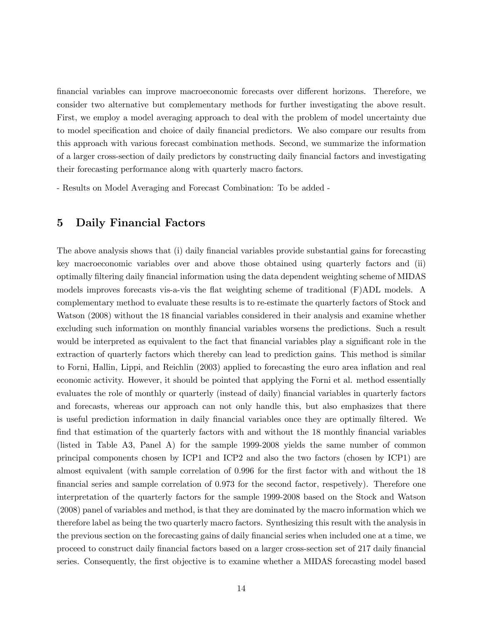financial variables can improve macroeconomic forecasts over different horizons. Therefore, we consider two alternative but complementary methods for further investigating the above result. First, we employ a model averaging approach to deal with the problem of model uncertainty due to model specification and choice of daily financial predictors. We also compare our results from this approach with various forecast combination methods. Second, we summarize the information of a larger cross-section of daily predictors by constructing daily financial factors and investigating their forecasting performance along with quarterly macro factors.

- Results on Model Averaging and Forecast Combination: To be added -

## 5 Daily Financial Factors

The above analysis shows that (i) daily financial variables provide substantial gains for forecasting key macroeconomic variables over and above those obtained using quarterly factors and (ii) optimally filtering daily financial information using the data dependent weighting scheme of MIDAS models improves forecasts vis-a-vis the flat weighting scheme of traditional (F)ADL models. A complementary method to evaluate these results is to re-estimate the quarterly factors of Stock and Watson (2008) without the 18 financial variables considered in their analysis and examine whether excluding such information on monthly financial variables worsens the predictions. Such a result would be interpreted as equivalent to the fact that financial variables play a significant role in the extraction of quarterly factors which thereby can lead to prediction gains. This method is similar to Forni, Hallin, Lippi, and Reichlin (2003) applied to forecasting the euro area inflation and real economic activity. However, it should be pointed that applying the Forni et al. method essentially evaluates the role of monthly or quarterly (instead of daily) financial variables in quarterly factors and forecasts, whereas our approach can not only handle this, but also emphasizes that there is useful prediction information in daily financial variables once they are optimally filtered. We find that estimation of the quarterly factors with and without the 18 monthly financial variables (listed in Table A3, Panel A) for the sample 1999-2008 yields the same number of common principal components chosen by ICP1 and ICP2 and also the two factors (chosen by ICP1) are almost equivalent (with sample correlation of 0.996 for the first factor with and without the 18 financial series and sample correlation of 0.973 for the second factor, respetively). Therefore one interpretation of the quarterly factors for the sample 1999-2008 based on the Stock and Watson (2008) panel of variables and method, is that they are dominated by the macro information which we therefore label as being the two quarterly macro factors. Synthesizing this result with the analysis in the previous section on the forecasting gains of daily financial series when included one at a time, we proceed to construct daily financial factors based on a larger cross-section set of 217 daily financial series. Consequently, the first objective is to examine whether a MIDAS forecasting model based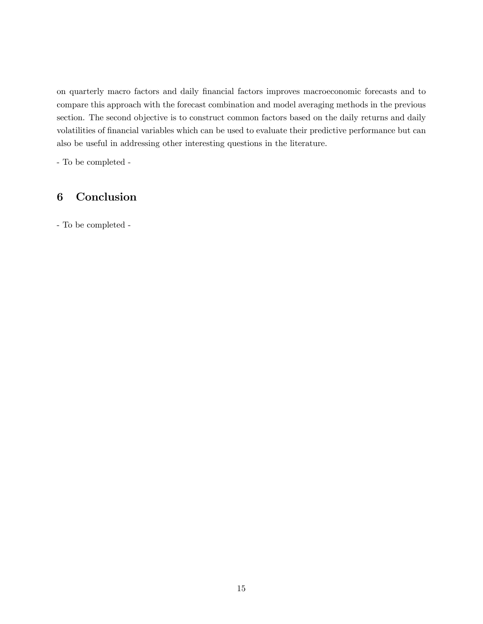on quarterly macro factors and daily financial factors improves macroeconomic forecasts and to compare this approach with the forecast combination and model averaging methods in the previous section. The second objective is to construct common factors based on the daily returns and daily volatilities of financial variables which can be used to evaluate their predictive performance but can also be useful in addressing other interesting questions in the literature.

- To be completed -

## 6 Conclusion

- To be completed -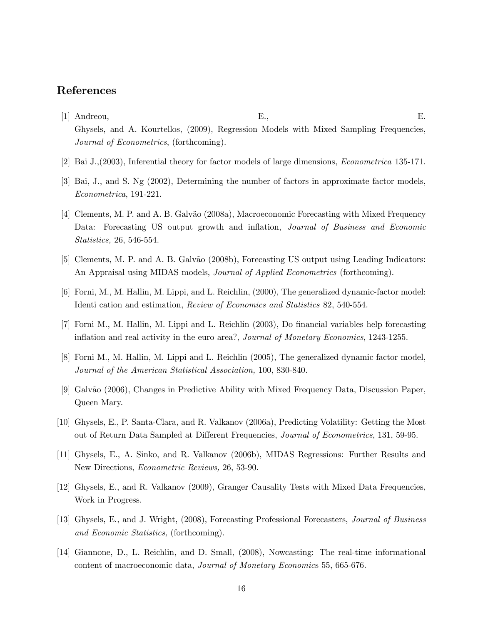## References

- [1] Andreou, E., E. Ghysels, and A. Kourtellos, (2009), Regression Models with Mixed Sampling Frequencies, Journal of Econometrics, (forthcoming).
- [2] Bai J.,(2003), Inferential theory for factor models of large dimensions, Econometrica 135-171.
- [3] Bai, J., and S. Ng (2002), Determining the number of factors in approximate factor models, Econometrica, 191-221.
- [4] Clements, M. P. and A. B. Galv˜ao (2008a), Macroeconomic Forecasting with Mixed Frequency Data: Forecasting US output growth and inflation, Journal of Business and Economic Statistics, 26, 546-554.
- [5] Clements, M. P. and A. B. Galvão (2008b), Forecasting US output using Leading Indicators: An Appraisal using MIDAS models, *Journal of Applied Econometrics* (forthcoming).
- [6] Forni, M., M. Hallin, M. Lippi, and L. Reichlin, (2000), The generalized dynamic-factor model: Identi cation and estimation, Review of Economics and Statistics 82, 540-554.
- [7] Forni M., M. Hallin, M. Lippi and L. Reichlin (2003), Do financial variables help forecasting inflation and real activity in the euro area?, Journal of Monetary Economics, 1243-1255.
- [8] Forni M., M. Hallin, M. Lippi and L. Reichlin (2005), The generalized dynamic factor model, Journal of the American Statistical Association, 100, 830-840.
- [9] Galvão (2006), Changes in Predictive Ability with Mixed Frequency Data, Discussion Paper, Queen Mary.
- [10] Ghysels, E., P. Santa-Clara, and R. Valkanov (2006a), Predicting Volatility: Getting the Most out of Return Data Sampled at Different Frequencies, Journal of Econometrics, 131, 59-95.
- [11] Ghysels, E., A. Sinko, and R. Valkanov (2006b), MIDAS Regressions: Further Results and New Directions, Econometric Reviews, 26, 53-90.
- [12] Ghysels, E., and R. Valkanov (2009), Granger Causality Tests with Mixed Data Frequencies, Work in Progress.
- [13] Ghysels, E., and J. Wright, (2008), Forecasting Professional Forecasters, Journal of Business and Economic Statistics, (forthcoming).
- [14] Giannone, D., L. Reichlin, and D. Small, (2008), Nowcasting: The real-time informational content of macroeconomic data, Journal of Monetary Economics 55, 665-676.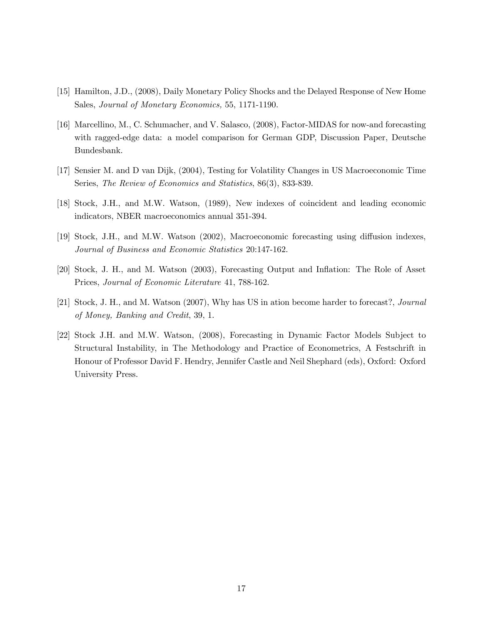- [15] Hamilton, J.D., (2008), Daily Monetary Policy Shocks and the Delayed Response of New Home Sales, Journal of Monetary Economics, 55, 1171-1190.
- [16] Marcellino, M., C. Schumacher, and V. Salasco, (2008), Factor-MIDAS for now-and forecasting with ragged-edge data: a model comparison for German GDP, Discussion Paper, Deutsche Bundesbank.
- [17] Sensier M. and D van Dijk, (2004), Testing for Volatility Changes in US Macroeconomic Time Series, The Review of Economics and Statistics, 86(3), 833-839.
- [18] Stock, J.H., and M.W. Watson, (1989), New indexes of coincident and leading economic indicators, NBER macroeconomics annual 351-394.
- [19] Stock, J.H., and M.W. Watson (2002), Macroeconomic forecasting using diffusion indexes, Journal of Business and Economic Statistics 20:147-162.
- [20] Stock, J. H., and M. Watson (2003), Forecasting Output and Inflation: The Role of Asset Prices, Journal of Economic Literature 41, 788-162.
- [21] Stock, J. H., and M. Watson (2007), Why has US in ation become harder to forecast?, Journal of Money, Banking and Credit, 39, 1.
- [22] Stock J.H. and M.W. Watson, (2008), Forecasting in Dynamic Factor Models Subject to Structural Instability, in The Methodology and Practice of Econometrics, A Festschrift in Honour of Professor David F. Hendry, Jennifer Castle and Neil Shephard (eds), Oxford: Oxford University Press.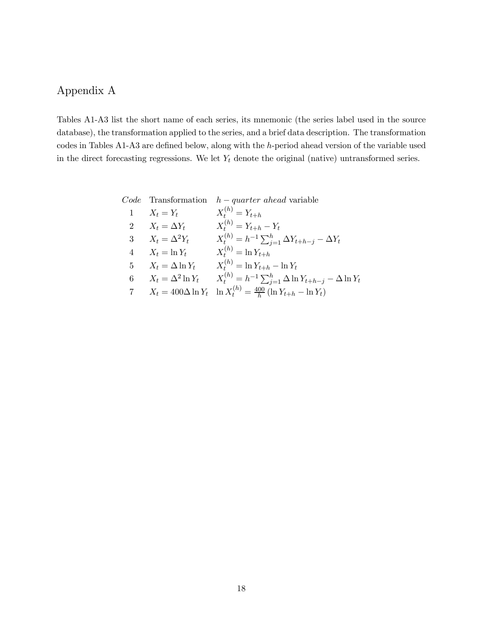## Appendix A

Tables A1-A3 list the short name of each series, its mnemonic (the series label used in the source database), the transformation applied to the series, and a brief data description. The transformation codes in Tables A1-A3 are defined below, along with the h-period ahead version of the variable used in the direct forecasting regressions. We let  $Y_t$  denote the original (native) untransformed series.

|                            | $Code$ Transformation $h-quarter \ ahead$ variable                                |
|----------------------------|-----------------------------------------------------------------------------------|
| 1 $X_t = Y_t$              | $X_t^{(h)} = Y_{t+h}$                                                             |
| 2 $X_t = \Delta Y_t$       | $X_t^{(h)} = Y_{t+h} - Y_t$                                                       |
| 3 $X_t = \Delta^2 Y_t$     | $X_t^{(h)} = h^{-1} \sum_{i=1}^h \Delta Y_{t+h-j} - \Delta Y_t$                   |
| $4$ $X_t = \ln Y_t$        | $X_t^{(h)} = \ln Y_{t+h}$                                                         |
| 5 $X_t = \Delta \ln Y_t$   | $X_t^{(h)} = \ln Y_{t+h} - \ln Y_t$                                               |
| 6 $X_t = \Delta^2 \ln Y_t$ | $X_t^{(h)} = h^{-1} \sum_{i=1}^h \Delta \ln Y_{t+h-j} - \Delta \ln Y_t$           |
|                            | 7 $X_t = 400\Delta \ln Y_t \ln X_t^{(h)} = \frac{400}{h} (\ln Y_{t+h} - \ln Y_t)$ |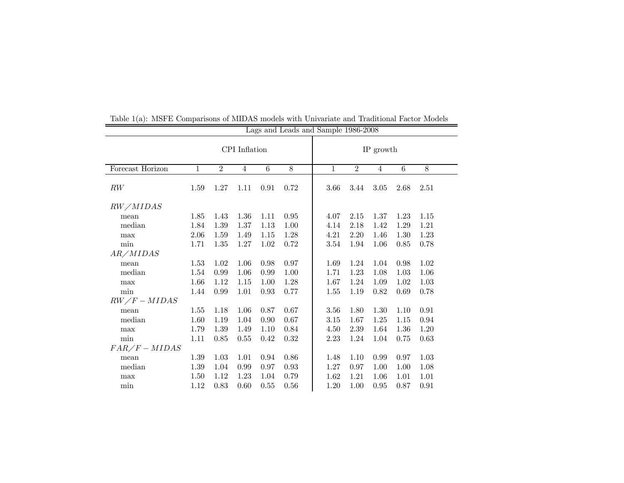|                  | Lags and Leads and Sample 1986-2008 |                |                |          |      |              |                |                |                 |          |
|------------------|-------------------------------------|----------------|----------------|----------|------|--------------|----------------|----------------|-----------------|----------|
|                  |                                     |                | CPI Inflation  |          |      | IP growth    |                |                |                 |          |
| Forecast Horizon | 1                                   | $\overline{2}$ | $\overline{4}$ | 6        | 8    | $\mathbf{1}$ | $\overline{2}$ | $\overline{4}$ | $6\phantom{.}6$ | 8        |
| RW               | 1.59                                | 1.27           | 1.11           | 0.91     | 0.72 | 3.66         | 3.44           | 3.05           | 2.68            | 2.51     |
| RW/MIDAS         |                                     |                |                |          |      |              |                |                |                 |          |
| mean             | 1.85                                | 1.43           | $1.36\,$       | 1.11     | 0.95 | 4.07         | 2.15           | 1.37           | 1.23            | 1.15     |
| median           | 1.84                                | 1.39           | $1.37\,$       | $1.13\,$ | 1.00 | 4.14         | 2.18           | 1.42           | 1.29            | 1.21     |
| max              | 2.06                                | 1.59           | 1.49           | 1.15     | 1.28 | 4.21         | 2.20           | 1.46           | 1.30            | 1.23     |
| min              | 1.71                                | 1.35           | 1.27           | 1.02     | 0.72 | 3.54         | 1.94           | 1.06           | 0.85            | 0.78     |
| AR/MIDAS         |                                     |                |                |          |      |              |                |                |                 |          |
| mean             | 1.53                                | 1.02           | 1.06           | 0.98     | 0.97 | 1.69         | 1.24           | 1.04           | 0.98            | 1.02     |
| median           | 1.54                                | 0.99           | 1.06           | 0.99     | 1.00 | 1.71         | 1.23           | 1.08           | 1.03            | 1.06     |
| max              | 1.66                                | 1.12           | 1.15           | 1.00     | 1.28 | 1.67         | 1.24           | 1.09           | 1.02            | $1.03\,$ |
| min              | 1.44                                | 0.99           | 1.01           | 0.93     | 0.77 | 1.55         | 1.19           | 0.82           | 0.69            | 0.78     |
| $RW/F-MIDAS$     |                                     |                |                |          |      |              |                |                |                 |          |
| mean             | 1.55                                | 1.18           | 1.06           | 0.87     | 0.67 | 3.56         | 1.80           | 1.30           | 1.10            | 0.91     |
| median           | 1.60                                | 1.19           | $1.04\,$       | 0.90     | 0.67 | 3.15         | 1.67           | 1.25           | 1.15            | 0.94     |
| max              | 1.79                                | 1.39           | 1.49           | 1.10     | 0.84 | 4.50         | 2.39           | 1.64           | 1.36            | 1.20     |
| min              | 1.11                                | 0.85           | 0.55           | 0.42     | 0.32 | 2.23         | 1.24           | 1.04           | 0.75            | 0.63     |
| $FAR/F-MIDAS$    |                                     |                |                |          |      |              |                |                |                 |          |
| mean             | 1.39                                | 1.03           | 1.01           | 0.94     | 0.86 | 1.48         | 1.10           | 0.99           | 0.97            | 1.03     |
| median           | 1.39                                | 1.04           | 0.99           | 0.97     | 0.93 | 1.27         | 0.97           | 1.00           | 1.00            | 1.08     |
| max              | 1.50                                | 1.12           | 1.23           | 1.04     | 0.79 | 1.62         | 1.21           | 1.06           | 1.01            | 1.01     |
| min              | 1.12                                | 0.83           | 0.60           | 0.55     | 0.56 | 1.20         | 1.00           | 0.95           | 0.87            | 0.91     |

Table 1(a): MSFE Comparisons of MIDAS models with Univariate and Traditional Factor Models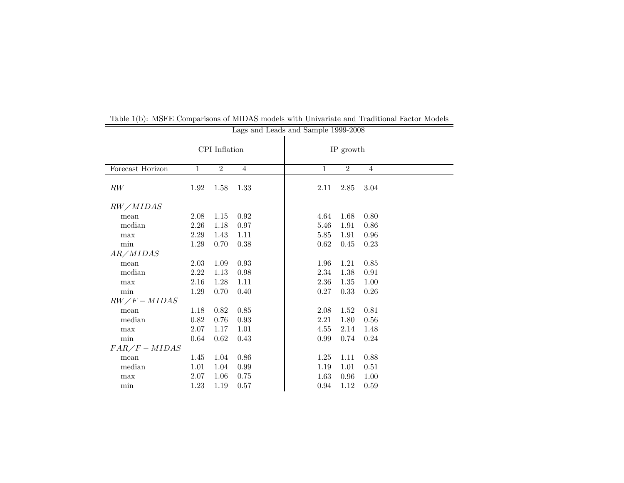|                  |               |                | Lags and Leads and Sample 1999-2008 |  |  |              |                |                |  |  |
|------------------|---------------|----------------|-------------------------------------|--|--|--------------|----------------|----------------|--|--|
|                  | CPI Inflation |                |                                     |  |  | IP growth    |                |                |  |  |
| Forecast Horizon | $\mathbf{1}$  | $\overline{2}$ | $\overline{4}$                      |  |  | $\mathbf{1}$ | $\overline{2}$ | $\overline{4}$ |  |  |
| RW               | 1.92          | 1.58           | 1.33                                |  |  | 2.11         | 2.85           | 3.04           |  |  |
| RW/MIDAS         |               |                |                                     |  |  |              |                |                |  |  |
| mean             | 2.08          | 1.15           | 0.92                                |  |  | 4.64         | 1.68           | 0.80           |  |  |
| median           | 2.26          | 1.18           | 0.97                                |  |  | 5.46         | 1.91           | 0.86           |  |  |
| max              | 2.29          | 1.43           | 1.11                                |  |  | 5.85         | 1.91           | 0.96           |  |  |
| min              | 1.29          | 0.70           | 0.38                                |  |  | 0.62         | 0.45           | 0.23           |  |  |
| AR/MIDAS         |               |                |                                     |  |  |              |                |                |  |  |
| mean             | 2.03          | 1.09           | 0.93                                |  |  | 1.96         | 1.21           | 0.85           |  |  |
| median           | 2.22          | 1.13           | 0.98                                |  |  | 2.34         | 1.38           | $\rm 0.91$     |  |  |
| max              | 2.16          | 1.28           | 1.11                                |  |  | 2.36         | 1.35           | 1.00           |  |  |
| min              | 1.29          | 0.70           | 0.40                                |  |  | 0.27         | 0.33           | 0.26           |  |  |
| $RW/F-MIDAS$     |               |                |                                     |  |  |              |                |                |  |  |
| mean             | 1.18          | 0.82           | 0.85                                |  |  | 2.08         | 1.52           | 0.81           |  |  |
| median           | 0.82          | 0.76           | 0.93                                |  |  | 2.21         | 1.80           | 0.56           |  |  |
| max              | 2.07          | 1.17           | 1.01                                |  |  | 4.55         | 2.14           | 1.48           |  |  |
| min              | 0.64          | 0.62           | 0.43                                |  |  | 0.99         | 0.74           | 0.24           |  |  |
| $FAR/F-MIDAS$    |               |                |                                     |  |  |              |                |                |  |  |
| mean             | 1.45          | 1.04           | 0.86                                |  |  | 1.25         | 1.11           | 0.88           |  |  |
| median           | 1.01          | 1.04           | 0.99                                |  |  | 1.19         | 1.01           | 0.51           |  |  |
| max              | 2.07          | 1.06           | 0.75                                |  |  | 1.63         | 0.96           | 1.00           |  |  |
| min              | 1.23          | 1.19           | 0.57                                |  |  | 0.94         | 1.12           | 0.59           |  |  |

Table 1(b): MSFE Comparisons of MIDAS models with Univariate and Traditional Factor Models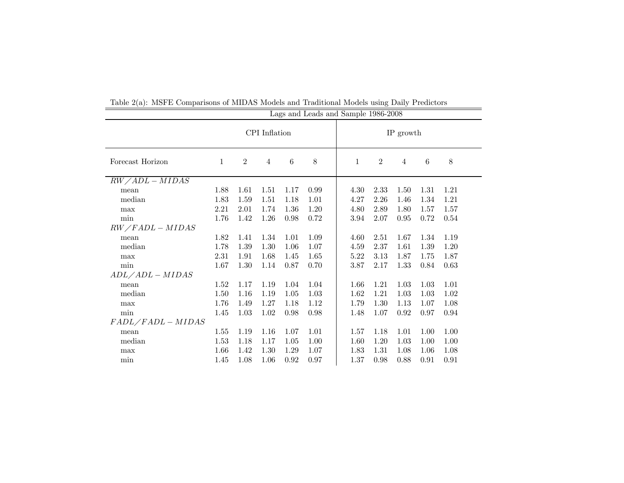|                   | Lags and Leads and Sample 1986-2008 |                |                |                 |      |              |                  |                |      |      |  |
|-------------------|-------------------------------------|----------------|----------------|-----------------|------|--------------|------------------|----------------|------|------|--|
|                   |                                     |                | CPI Inflation  |                 |      | IP growth    |                  |                |      |      |  |
| Forecast Horizon  | 1                                   | $\overline{2}$ | $\overline{4}$ | $6\phantom{.}6$ | 8    | $\mathbf{1}$ | $\boldsymbol{2}$ | $\overline{4}$ | 6    | 8    |  |
| $RW/ADL-MIDAS$    |                                     |                |                |                 |      |              |                  |                |      |      |  |
| mean              | 1.88                                | 1.61           | 1.51           | 1.17            | 0.99 | 4.30         | 2.33             | 1.50           | 1.31 | 1.21 |  |
| median            | 1.83                                | 1.59           | 1.51           | 1.18            | 1.01 | 4.27         | 2.26             | 1.46           | 1.34 | 1.21 |  |
| max               | 2.21                                | 2.01           | 1.74           | 1.36            | 1.20 | 4.80         | 2.89             | 1.80           | 1.57 | 1.57 |  |
| min               | 1.76                                | 1.42           | 1.26           | 0.98            | 0.72 | 3.94         | 2.07             | 0.95           | 0.72 | 0.54 |  |
| $RW/FADL-MIDAS$   |                                     |                |                |                 |      |              |                  |                |      |      |  |
| mean              | 1.82                                | 1.41           | 1.34           | 1.01            | 1.09 | 4.60         | 2.51             | 1.67           | 1.34 | 1.19 |  |
| median            | 1.78                                | 1.39           | 1.30           | 1.06            | 1.07 | 4.59         | 2.37             | 1.61           | 1.39 | 1.20 |  |
| max               | 2.31                                | 1.91           | 1.68           | 1.45            | 1.65 | 5.22         | 3.13             | 1.87           | 1.75 | 1.87 |  |
| $\min$            | 1.67                                | 1.30           | 1.14           | 0.87            | 0.70 | 3.87         | 2.17             | 1.33           | 0.84 | 0.63 |  |
| $ADL/ADL-MIDAS$   |                                     |                |                |                 |      |              |                  |                |      |      |  |
| mean              | 1.52                                | 1.17           | 1.19           | 1.04            | 1.04 | 1.66         | 1.21             | 1.03           | 1.03 | 1.01 |  |
| median            | 1.50                                | 1.16           | 1.19           | 1.05            | 1.03 | 1.62         | 1.21             | 1.03           | 1.03 | 1.02 |  |
| max               | 1.76                                | 1.49           | 1.27           | 1.18            | 1.12 | 1.79         | 1.30             | 1.13           | 1.07 | 1.08 |  |
| min               | 1.45                                | 1.03           | 1.02           | 0.98            | 0.98 | 1.48         | 1.07             | 0.92           | 0.97 | 0.94 |  |
| $FADL/FADL-MIDAS$ |                                     |                |                |                 |      |              |                  |                |      |      |  |
| mean              | 1.55                                | 1.19           | 1.16           | 1.07            | 1.01 | 1.57         | 1.18             | 1.01           | 1.00 | 1.00 |  |
| median            | 1.53                                | 1.18           | 1.17           | 1.05            | 1.00 | 1.60         | 1.20             | 1.03           | 1.00 | 1.00 |  |
| max               | 1.66                                | 1.42           | 1.30           | 1.29            | 1.07 | 1.83         | 1.31             | 1.08           | 1.06 | 1.08 |  |
| min               | 1.45                                | 1.08           | 1.06           | 0.92            | 0.97 | 1.37         | 0.98             | 0.88           | 0.91 | 0.91 |  |

Table 2(a): MSFE Comparisons of MIDAS Models and Traditional Models using Daily Predictors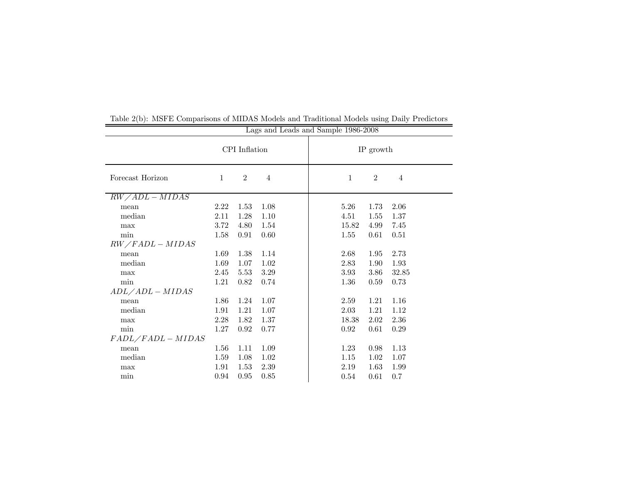|                   | Lags and Leads and Sample 1986-2008 |                |                |                                       |  |  |  |  |  |  |
|-------------------|-------------------------------------|----------------|----------------|---------------------------------------|--|--|--|--|--|--|
|                   | CPI Inflation                       |                |                | IP growth                             |  |  |  |  |  |  |
| Forecast Horizon  | $\mathbf{1}$                        | $\overline{2}$ | $\overline{4}$ | $\overline{2}$<br>$\overline{4}$<br>1 |  |  |  |  |  |  |
| $RW/ADL-MIDAS$    |                                     |                |                |                                       |  |  |  |  |  |  |
| mean              | 2.22                                | 1.53           | 1.08           | 5.26<br>1.73<br>2.06                  |  |  |  |  |  |  |
| median            | 2.11                                | 1.28           | 1.10           | 1.37<br>4.51<br>1.55                  |  |  |  |  |  |  |
| max               | 3.72                                | 4.80           | 1.54           | 15.82<br>4.99<br>7.45                 |  |  |  |  |  |  |
| min               | 1.58                                | 0.91           | 0.60           | 1.55<br>0.61<br>0.51                  |  |  |  |  |  |  |
| $RW/FADL-MIDAS$   |                                     |                |                |                                       |  |  |  |  |  |  |
| mean              | 1.69                                | 1.38           | 1.14           | 2.73<br>2.68<br>1.95                  |  |  |  |  |  |  |
| median            | 1.69                                | 1.07           | 1.02           | 2.83<br>1.90<br>1.93                  |  |  |  |  |  |  |
| max               | 2.45                                | 5.53           | 3.29           | 3.93<br>3.86<br>32.85                 |  |  |  |  |  |  |
| min               | 1.21                                | 0.82           | 0.74           | 1.36<br>0.73<br>0.59                  |  |  |  |  |  |  |
| $ADL/ADL-MIDAS$   |                                     |                |                |                                       |  |  |  |  |  |  |
| mean              | 1.86                                | 1.24           | 1.07           | 1.16<br>1.21<br>2.59                  |  |  |  |  |  |  |
| median            | 1.91                                | 1.21           | 1.07           | 1.12<br>2.03<br>1.21                  |  |  |  |  |  |  |
| max               | 2.28                                | 1.82           | 1.37           | 18.38<br>2.02<br>2.36                 |  |  |  |  |  |  |
| $\min$            | 1.27                                | 0.92           | 0.77           | 0.92<br>0.29<br>0.61                  |  |  |  |  |  |  |
| $FADL/FADL-MIDAS$ |                                     |                |                |                                       |  |  |  |  |  |  |
| mean              | $1.56\,$                            | 1.11           | 1.09           | 0.98<br>1.13<br>1.23                  |  |  |  |  |  |  |
| median            | 1.59                                | 1.08           | 1.02           | 1.02<br>1.07<br>1.15                  |  |  |  |  |  |  |
| max               | 1.91                                | 1.53           | 2.39           | 1.63<br>1.99<br>2.19                  |  |  |  |  |  |  |
| min               | 0.94                                | 0.95           | 0.85           | 0.61<br>0.7<br>0.54                   |  |  |  |  |  |  |

Table 2(b): MSFE Comparisons of MIDAS Models and Traditional Models using Daily Predictors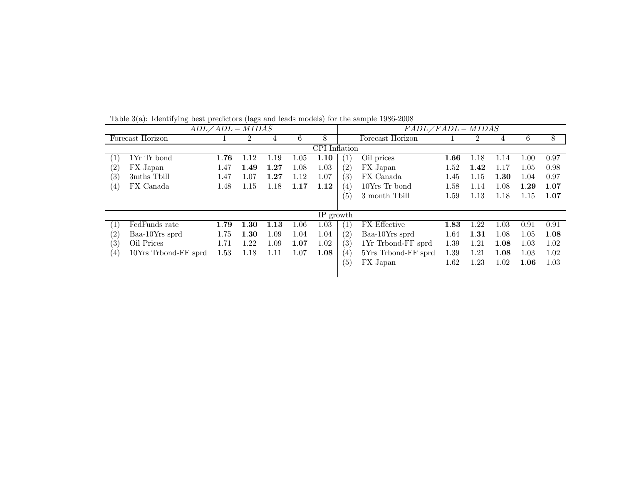|                        |                      | $ADL/ADL - MIDAS$ |      |      |          |               |                   | $FADL/FADL-MIDAS$   |      |      |      |      |      |
|------------------------|----------------------|-------------------|------|------|----------|---------------|-------------------|---------------------|------|------|------|------|------|
|                        | Forecast Horizon     |                   |      | 4    | 6        | 8             |                   | Forecast Horizon    |      |      | 4    | 6    | 8    |
|                        |                      |                   |      |      |          | CPI Inflation |                   |                     |      |      |      |      |      |
| $\left 1\right\rangle$ | 1Yr Tr bond          | 1.76              | 1.12 | 1.19 | 1.05     | 1.10          | $\left( 1\right)$ | Oil prices          | 1.66 | 1.18 | 1.14 | 1.00 | 0.97 |
| $\left( 2\right)$      | FX Japan             | 1.47              | 1.49 | 1.27 | 1.08     | 1.03          | (2)               | FX Japan            | 1.52 | 1.42 | 1.17 | 1.05 | 0.98 |
| (3)                    | 3mths Tbill          | 1.47              | 1.07 | 1.27 | 1.12     | 1.07          | (3)               | FX Canada           | 1.45 | 1.15 | 1.30 | 1.04 | 0.97 |
| (4)                    | FX Canada            | 1.48              | 1.15 | 1.18 | 1.17     | 1.12          | $\left( 4\right)$ | 10Yrs Tr bond       | 1.58 | 1.14 | 1.08 | 1.29 | 1.07 |
|                        |                      |                   |      |      |          |               | (5)               | 3 month Tbill       | 1.59 | 1.13 | 1.18 | 1.15 | 1.07 |
|                        |                      |                   |      |      |          |               |                   |                     |      |      |      |      |      |
|                        |                      |                   |      |      |          | IP growth     |                   |                     |      |      |      |      |      |
| $\left  \right $       | FedFunds rate        | 1.79              | 1.30 | 1.13 | $1.06\,$ | 1.03          | $\left( 1\right)$ | FX Effective        | 1.83 | 1.22 | 1.03 | 0.91 | 0.91 |
| $\left( 2\right)$      | Baa-10Yrs sprd       | 1.75              | 1.30 | 1.09 | 1.04     | 1.04          | (2)               | Baa-10Yrs sprd      | 1.64 | 1.31 | 1.08 | 1.05 | 1.08 |
| $\left( 3\right)$      | Oil Prices           | 1.71              | 1.22 | 1.09 | 1.07     | 1.02          | (3)               | 1Yr Trbond-FF sprd  | 1.39 | 1.21 | 1.08 | 1.03 | 1.02 |
| (4)                    | 10Yrs Trbond-FF sprd | 1.53              | 1.18 | 1.11 | 1.07     | 1.08          | $\left( 4\right)$ | 5Yrs Trbond-FF sprd | 1.39 | 1.21 | 1.08 | 1.03 | 1.02 |
|                        |                      |                   |      |      |          |               | (5)               | FX Japan            | 1.62 | 1.23 | 1.02 | 1.06 | 1.03 |
|                        |                      |                   |      |      |          |               |                   |                     |      |      |      |      |      |

Table 3(a): Identifying best predictors (lags and leads models) for the sample 1986-2008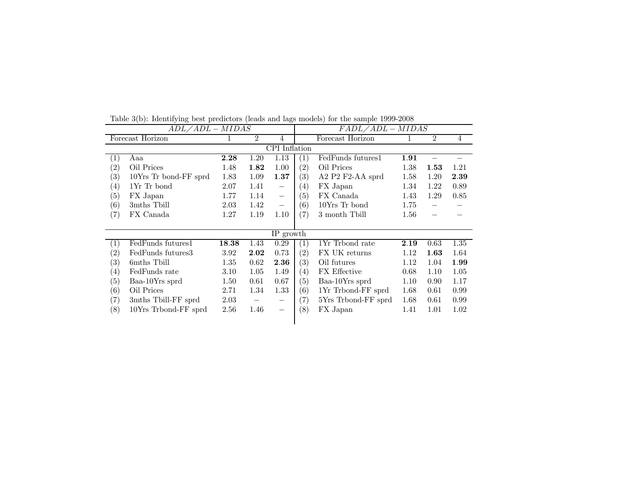|                   | $ADL \overline{/ADL - MIDAS}$ |       |                |                          | $FADL/ADL-MIDAS$  |                      |          |                          |                |  |
|-------------------|-------------------------------|-------|----------------|--------------------------|-------------------|----------------------|----------|--------------------------|----------------|--|
|                   | Forecast Horizon              |       | $\overline{2}$ | $\overline{4}$           |                   | Forecast Horizon     |          | $\overline{2}$           | $\overline{4}$ |  |
|                   |                               |       |                | CPI Inflation            |                   |                      |          |                          |                |  |
| $\left( 1\right)$ | Aaa                           | 2.28  | 1.20           | 1.13                     | $\left( 1\right)$ | FedFunds futures1    | 1.91     |                          |                |  |
| $\left( 2\right)$ | Oil Prices                    | 1.48  | 1.82           | 1.00                     | (2)               | Oil Prices           | 1.38     | 1.53                     | 1.21           |  |
| $\left( 3\right)$ | 10Yrs Tr bond-FF sprd         | 1.83  | 1.09           | 1.37                     | (3)               | A2 $P2$ $F2-AA$ sprd | 1.58     | 1.20                     | 2.39           |  |
| $\left( 4\right)$ | 1Yr Tr bond                   | 2.07  | 1.41           | $\overline{\phantom{m}}$ | $\left( 4\right)$ | FX Japan             | 1.34     | 1.22                     | 0.89           |  |
| $\left(5\right)$  | FX Japan                      | 1.77  | 1.14           | $\overline{\phantom{m}}$ | (5)               | FX Canada            | 1.43     | 1.29                     | 0.85           |  |
| (6)               | 3mths Tbill                   | 2.03  | 1.42           | $\overline{\phantom{m}}$ | (6)               | 10Yrs Tr bond        | 1.75     | $\overline{\phantom{0}}$ |                |  |
| (7)               | FX Canada                     | 1.27  | 1.19           | 1.10                     | (7)               | 3 month Tbill        | $1.56\,$ |                          |                |  |
|                   |                               |       |                |                          |                   |                      |          |                          |                |  |
|                   |                               |       |                | IP growth                |                   |                      |          |                          |                |  |
| (1)               | FedFunds futures1             | 18.38 | 1.43           | 0.29                     | $\left( 1\right)$ | 1Yr Trbond rate      | 2.19     | 0.63                     | 1.35           |  |
| $\left( 2\right)$ | FedFunds futures3             | 3.92  | 2.02           | 0.73                     | (2)               | FX UK returns        | 1.12     | 1.63                     | 1.64           |  |
| $\left( 3\right)$ | 6mths Tbill                   | 1.35  | 0.62           | 2.36                     | (3)               | Oil futures          | 1.12     | 1.04                     | 1.99           |  |
| $\left(4\right)$  | FedFunds rate                 | 3.10  | 1.05           | 1.49                     | $\left( 4\right)$ | <b>FX</b> Effective  | 0.68     | 1.10                     | 1.05           |  |
| $\left(5\right)$  | Baa-10Yrs sprd                | 1.50  | 0.61           | 0.67                     | (5)               | Baa-10Yrs sprd       | 1.10     | 0.90                     | 1.17           |  |
| $\left(6\right)$  | Oil Prices                    | 2.71  | 1.34           | 1.33                     | (6)               | 1Yr Trbond-FF sprd   | 1.68     | 0.61                     | 0.99           |  |
| (7)               | 3mths Tbill-FF sprd           | 2.03  |                | $\overline{\phantom{m}}$ | $\left( 7\right)$ | 5Yrs Trbond-FF sprd  | 1.68     | 0.61                     | 0.99           |  |
| $\left(8\right)$  | 10Yrs Trbond-FF sprd          | 2.56  | 1.46           |                          | (8)               | FX Japan             | 1.41     | 1.01                     | 1.02           |  |
|                   |                               |       |                |                          |                   |                      |          |                          |                |  |

Table 3(b): Identifying best predictors (leads and lags models) for the sample 1999-2008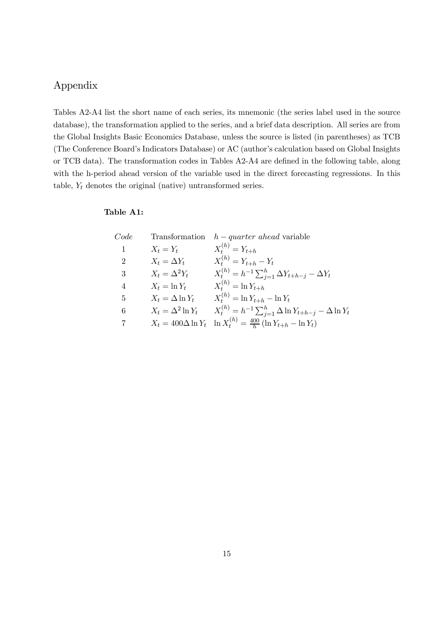## Appendix

Tables A2-A4 list the short name of each series, its mnemonic (the series label used in the source database), the transformation applied to the series, and a brief data description. All series are from the Global Insights Basic Economics Database, unless the source is listed (in parentheses) as TCB (The Conference Board's Indicators Database) or AC (author's calculation based on Global Insights or TCB data). The transformation codes in Tables A2-A4 are defined in the following table, along with the h-period ahead version of the variable used in the direct forecasting regressions. In this table,  $Y_t$  denotes the original (native) untransformed series.

#### Table A1:

| Code                        |                          | Transformation $h-quarter \ ahead$ variable                                                         |
|-----------------------------|--------------------------|-----------------------------------------------------------------------------------------------------|
| 1                           | $X_t = Y_t$              | $X_t^{(h)} = Y_{t+h}$                                                                               |
| $\mathcal{D}_{\mathcal{L}}$ | $X_t = \Delta Y_t$       | $X_t^{(h)} = Y_{t+h} - Y_t$                                                                         |
| 3                           | $X_t = \Delta^2 Y_t$     | $X_t^{(h)} = h^{-1} \sum_{i=1}^h \Delta Y_{t+h-i} - \Delta Y_t$                                     |
| 4                           | $X_t = \ln Y_t$          | $X_t^{(h)} = \ln Y_{t+h}$                                                                           |
| 5                           | $X_t = \Delta \ln Y_t$   | $X_t^{(h)} = \ln Y_{t+h} - \ln Y_t$                                                                 |
| 6                           | $X_t = \Delta^2 \ln Y_t$ | $X_t^{(h)} = h^{-1} \sum_{i=1}^h \Delta \ln Y_{t+h-j} - \Delta \ln Y_t$                             |
| 7                           |                          | $X_t = 400 \Delta \ln Y_t \quad \ln X_t^{(h)} = \frac{400}{h} \left( \ln Y_{t+h} - \ln Y_t \right)$ |
|                             |                          |                                                                                                     |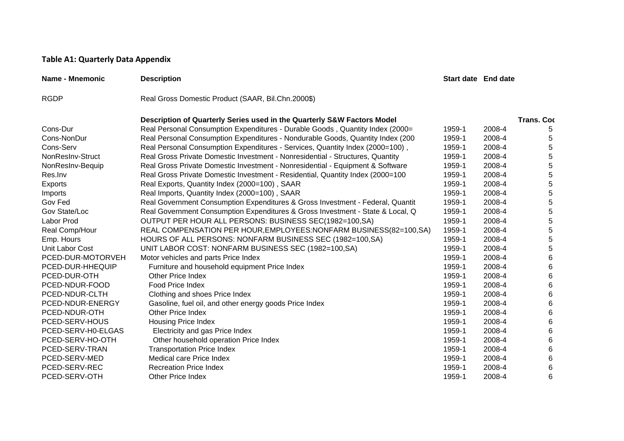#### **Table A1: Quarterly Data Appendix**

| Name - Mnemonic    | <b>Description</b>                                                              | <b>Start date End date</b> |        |                   |
|--------------------|---------------------------------------------------------------------------------|----------------------------|--------|-------------------|
| <b>RGDP</b>        | Real Gross Domestic Product (SAAR, Bil.Chn.2000\$)                              |                            |        |                   |
|                    | Description of Quarterly Series used in the Quarterly S&W Factors Model         |                            |        | <b>Trans. Coc</b> |
| Cons-Dur           | Real Personal Consumption Expenditures - Durable Goods, Quantity Index (2000=   | 1959-1                     | 2008-4 | 5                 |
| Cons-NonDur        | Real Personal Consumption Expenditures - Nondurable Goods, Quantity Index (200) | 1959-1                     | 2008-4 | 5                 |
| Cons-Serv          | Real Personal Consumption Expenditures - Services, Quantity Index (2000=100),   | 1959-1                     | 2008-4 | 5                 |
| NonResInv-Struct   | Real Gross Private Domestic Investment - Nonresidential - Structures, Quantity  | 1959-1                     | 2008-4 | 5                 |
| NonResInv-Bequip   | Real Gross Private Domestic Investment - Nonresidential - Equipment & Software  | 1959-1                     | 2008-4 | $\,$ 5 $\,$       |
| Res.Inv            | Real Gross Private Domestic Investment - Residential, Quantity Index (2000=100  | 1959-1                     | 2008-4 | $\mathbf 5$       |
| <b>Exports</b>     | Real Exports, Quantity Index (2000=100), SAAR                                   | 1959-1                     | 2008-4 | $\overline{5}$    |
| Imports            | Real Imports, Quantity Index (2000=100), SAAR                                   | 1959-1                     | 2008-4 | $\mathbf 5$       |
| Gov Fed            | Real Government Consumption Expenditures & Gross Investment - Federal, Quantit  | 1959-1                     | 2008-4 | 5                 |
| Gov State/Loc      | Real Government Consumption Expenditures & Gross Investment - State & Local, Q  | 1959-1                     | 2008-4 | 5                 |
| Labor Prod         | OUTPUT PER HOUR ALL PERSONS: BUSINESS SEC(1982=100,SA)                          | 1959-1                     | 2008-4 | $\overline{5}$    |
| Real Comp/Hour     | REAL COMPENSATION PER HOUR, EMPLOYEES: NONFARM BUSINESS (82=100, SA)            | 1959-1                     | 2008-4 | $\overline{5}$    |
| Emp. Hours         | HOURS OF ALL PERSONS: NONFARM BUSINESS SEC (1982=100,SA)                        | 1959-1                     | 2008-4 | $\mathbf 5$       |
| Unit Labor Cost    | UNIT LABOR COST: NONFARM BUSINESS SEC (1982=100,SA)                             | 1959-1                     | 2008-4 | 5                 |
| PCED-DUR-MOTORVEH  | Motor vehicles and parts Price Index                                            | 1959-1                     | 2008-4 | $\,6$             |
| PCED-DUR-HHEQUIP   | Furniture and household equipment Price Index                                   | 1959-1                     | 2008-4 | $\,6$             |
| PCED-DUR-OTH       | Other Price Index                                                               | 1959-1                     | 2008-4 | 6                 |
| PCED-NDUR-FOOD     | Food Price Index                                                                | 1959-1                     | 2008-4 | 6                 |
| PCED-NDUR-CLTH     | Clothing and shoes Price Index                                                  | 1959-1                     | 2008-4 | 6                 |
| PCED-NDUR-ENERGY   | Gasoline, fuel oil, and other energy goods Price Index                          | 1959-1                     | 2008-4 | 6                 |
| PCED-NDUR-OTH      | <b>Other Price Index</b>                                                        | 1959-1                     | 2008-4 | 6                 |
| PCED-SERV-HOUS     | <b>Housing Price Index</b>                                                      | 1959-1                     | 2008-4 | 6                 |
| PCED-SERV-H0-ELGAS | Electricity and gas Price Index                                                 | 1959-1                     | 2008-4 | 6                 |
| PCED-SERV-HO-OTH   | Other household operation Price Index                                           | 1959-1                     | 2008-4 | 6                 |
| PCED-SERV-TRAN     | <b>Transportation Price Index</b>                                               | 1959-1                     | 2008-4 | 6                 |
| PCED-SERV-MED      | Medical care Price Index                                                        | 1959-1                     | 2008-4 | 6                 |
| PCED-SERV-REC      | <b>Recreation Price Index</b>                                                   | 1959-1                     | 2008-4 | 6                 |
| PCED-SERV-OTH      | <b>Other Price Index</b>                                                        | 1959-1                     | 2008-4 | 6                 |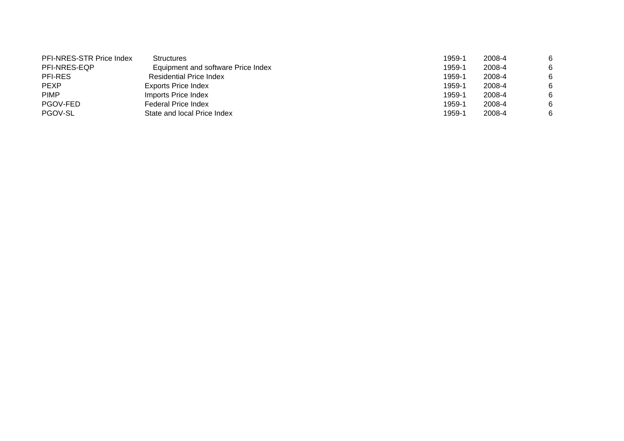| PFI-NRES-STR Price Index | <b>Structures</b>                  | 1959-1 | 2008-4 | 6 |
|--------------------------|------------------------------------|--------|--------|---|
| PFI-NRES-EQP             | Equipment and software Price Index | 1959-1 | 2008-4 | 6 |
| <b>PFI-RES</b>           | <b>Residential Price Index</b>     | 1959-1 | 2008-4 | 6 |
| <b>PEXP</b>              | <b>Exports Price Index</b>         | 1959-1 | 2008-4 | 6 |
| <b>PIMP</b>              | Imports Price Index                | 1959-1 | 2008-4 | 6 |
| PGOV-FED                 | <b>Federal Price Index</b>         | 1959-1 | 2008-4 | 6 |
| PGOV-SL                  | State and local Price Index        | 1959-1 | 2008-4 | 6 |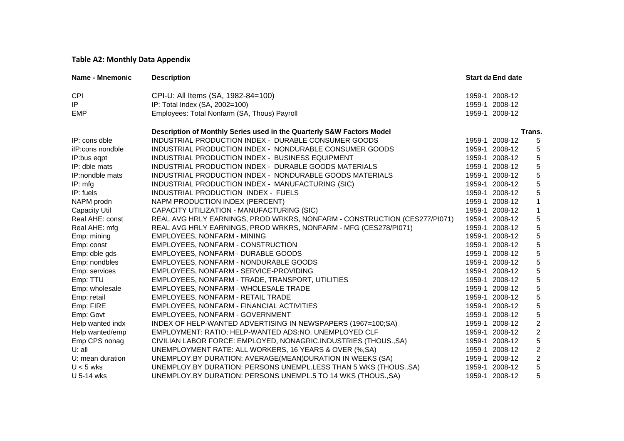#### **Table A2: Monthly Data Appendix**

| Name - Mnemonic      | <b>Description</b>                                                        | <b>Start da End date</b> |                  |
|----------------------|---------------------------------------------------------------------------|--------------------------|------------------|
| <b>CPI</b>           | CPI-U: All Items (SA, 1982-84=100)                                        | 1959-1 2008-12           |                  |
| IP                   | IP: Total Index (SA, 2002=100)                                            | 1959-1 2008-12           |                  |
| <b>EMP</b>           | Employees: Total Nonfarm (SA, Thous) Payroll                              | 1959-1 2008-12           |                  |
|                      | Description of Monthly Series used in the Quarterly S&W Factors Model     |                          | Trans.           |
| IP: cons dble        | INDUSTRIAL PRODUCTION INDEX - DURABLE CONSUMER GOODS                      | 1959-1 2008-12           | 5                |
| ilP:cons nondble     | INDUSTRIAL PRODUCTION INDEX - NONDURABLE CONSUMER GOODS                   | 1959-1 2008-12           | 5                |
| IP:bus eqpt          | INDUSTRIAL PRODUCTION INDEX - BUSINESS EQUIPMENT                          | 1959-1 2008-12           | 5                |
| IP: dble mats        | INDUSTRIAL PRODUCTION INDEX - DURABLE GOODS MATERIALS                     | 1959-1 2008-12           | 5                |
| IP:nondble mats      | INDUSTRIAL PRODUCTION INDEX - NONDURABLE GOODS MATERIALS                  | 1959-1 2008-12           | 5                |
| IP: mfg              | INDUSTRIAL PRODUCTION INDEX - MANUFACTURING (SIC)                         | 1959-1 2008-12           | 5                |
| IP: fuels            | INDUSTRIAL PRODUCTION INDEX - FUELS                                       | 1959-1 2008-12           | 5                |
| NAPM prodn           | NAPM PRODUCTION INDEX (PERCENT)                                           | 1959-1 2008-12           | 1                |
| <b>Capacity Util</b> | CAPACITY UTILIZATION - MANUFACTURING (SIC)                                | 1959-1 2008-12           | $\mathbf{1}$     |
| Real AHE: const      | REAL AVG HRLY EARNINGS, PROD WRKRS, NONFARM - CONSTRUCTION (CES277/PI071) | 1959-1 2008-12           | 5                |
| Real AHE: mfg        | REAL AVG HRLY EARNINGS, PROD WRKRS, NONFARM - MFG (CES278/PI071)          | 1959-1 2008-12           | 5                |
| Emp: mining          | EMPLOYEES, NONFARM - MINING                                               | 1959-1 2008-12           | 5                |
| Emp: const           | EMPLOYEES, NONFARM - CONSTRUCTION                                         | 1959-1 2008-12           | 5                |
| Emp: dble gds        | EMPLOYEES, NONFARM - DURABLE GOODS                                        | 1959-1 2008-12           | 5                |
| Emp: nondbles        | EMPLOYEES, NONFARM - NONDURABLE GOODS                                     | 1959-1 2008-12           | 5                |
| Emp: services        | EMPLOYEES, NONFARM - SERVICE-PROVIDING                                    | 1959-1 2008-12           | 5                |
| Emp: TTU             | EMPLOYEES, NONFARM - TRADE, TRANSPORT, UTILITIES                          | 1959-1 2008-12           | 5                |
| Emp: wholesale       | EMPLOYEES, NONFARM - WHOLESALE TRADE                                      | 1959-1 2008-12           | 5                |
| Emp: retail          | EMPLOYEES, NONFARM - RETAIL TRADE                                         | 1959-1 2008-12           | 5                |
| Emp: FIRE            | EMPLOYEES, NONFARM - FINANCIAL ACTIVITIES                                 | 1959-1 2008-12           | 5                |
| Emp: Govt            | EMPLOYEES, NONFARM - GOVERNMENT                                           | 1959-1 2008-12           | 5                |
| Help wanted indx     | INDEX OF HELP-WANTED ADVERTISING IN NEWSPAPERS (1967=100;SA)              | 1959-1 2008-12           | $\boldsymbol{2}$ |
| Help wanted/emp      | EMPLOYMENT: RATIO; HELP-WANTED ADS:NO. UNEMPLOYED CLF                     | 1959-1 2008-12           | $\boldsymbol{2}$ |
| Emp CPS nonag        | CIVILIAN LABOR FORCE: EMPLOYED, NONAGRIC.INDUSTRIES (THOUS., SA)          | 1959-1 2008-12           | 5                |
| $U:$ all             | UNEMPLOYMENT RATE: ALL WORKERS, 16 YEARS & OVER (%, SA)                   | 1959-1 2008-12           | $\overline{c}$   |
| U: mean duration     | UNEMPLOY.BY DURATION: AVERAGE(MEAN)DURATION IN WEEKS (SA)                 | 1959-1 2008-12           | $\boldsymbol{2}$ |
| $U < 5$ wks          | UNEMPLOY.BY DURATION: PERSONS UNEMPL.LESS THAN 5 WKS (THOUS., SA)         | 1959-1 2008-12           | 5                |
| U 5-14 wks           | UNEMPLOY.BY DURATION: PERSONS UNEMPL.5 TO 14 WKS (THOUS., SA)             | 1959-1 2008-12           | 5                |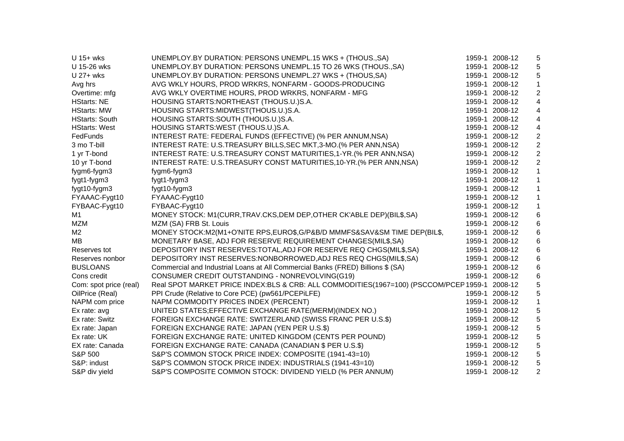| $U$ 15+ wks            | UNEMPLOY.BY DURATION: PERSONS UNEMPL.15 WKS + (THOUS., SA)                                    | 1959-1 2008-12 | 5                       |
|------------------------|-----------------------------------------------------------------------------------------------|----------------|-------------------------|
| U 15-26 wks            | UNEMPLOY.BY DURATION: PERSONS UNEMPL.15 TO 26 WKS (THOUS., SA)                                | 1959-1 2008-12 | 5                       |
| $U$ 27+ wks            | UNEMPLOY.BY DURATION: PERSONS UNEMPL.27 WKS + (THOUS, SA)                                     | 1959-1 2008-12 | 5                       |
| Avg hrs                | AVG WKLY HOURS, PROD WRKRS, NONFARM - GOODS-PRODUCING                                         | 1959-1 2008-12 | $\mathbf{1}$            |
| Overtime: mfg          | AVG WKLY OVERTIME HOURS, PROD WRKRS, NONFARM - MFG                                            | 1959-1 2008-12 | $\boldsymbol{2}$        |
| <b>HStarts: NE</b>     | HOUSING STARTS: NORTHEAST (THOUS.U.)S.A.                                                      | 1959-1 2008-12 | $\overline{\mathbf{4}}$ |
| <b>HStarts: MW</b>     | HOUSING STARTS:MIDWEST(THOUS.U.)S.A.                                                          | 1959-1 2008-12 | 4                       |
| <b>HStarts: South</b>  | HOUSING STARTS:SOUTH (THOUS.U.)S.A.                                                           | 1959-1 2008-12 | 4                       |
| <b>HStarts: West</b>   | HOUSING STARTS:WEST (THOUS.U.)S.A.                                                            | 1959-1 2008-12 | 4                       |
| FedFunds               | INTEREST RATE: FEDERAL FUNDS (EFFECTIVE) (% PER ANNUM, NSA)                                   | 1959-1 2008-12 | $\boldsymbol{2}$        |
| 3 mo T-bill            | INTEREST RATE: U.S.TREASURY BILLS, SEC MKT, 3-MO. (% PER ANN, NSA)                            | 1959-1 2008-12 | $\boldsymbol{2}$        |
| 1 yr T-bond            | INTEREST RATE: U.S.TREASURY CONST MATURITIES,1-YR. (% PER ANN, NSA)                           | 1959-1 2008-12 | $\boldsymbol{2}$        |
| 10 yr T-bond           | INTEREST RATE: U.S.TREASURY CONST MATURITIES, 10-YR. (% PER ANN, NSA)                         | 1959-1 2008-12 | $\boldsymbol{2}$        |
| fygm6-fygm3            | fygm6-fygm3                                                                                   | 1959-1 2008-12 | 1                       |
| fygt1-fygm3            | fygt1-fygm3                                                                                   | 1959-1 2008-12 | 1                       |
| fygt10-fygm3           | fygt10-fygm3                                                                                  | 1959-1 2008-12 | 1                       |
| FYAAAC-Fygt10          | FYAAAC-Fygt10                                                                                 | 1959-1 2008-12 | 1                       |
| FYBAAC-Fygt10          | FYBAAC-Fygt10                                                                                 | 1959-1 2008-12 | 1                       |
| M <sub>1</sub>         | MONEY STOCK: M1(CURR, TRAV.CKS, DEM DEP, OTHER CK'ABLE DEP)(BIL\$, SA)                        | 1959-1 2008-12 | 6                       |
| <b>MZM</b>             | MZM (SA) FRB St. Louis                                                                        | 1959-1 2008-12 | 6                       |
| M <sub>2</sub>         | MONEY STOCK:M2(M1+O'NITE RPS,EURO\$,G/P&B/D MMMFS&SAV&SM TIME DEP(BIL\$,                      | 1959-1 2008-12 | 6                       |
| MB                     | MONETARY BASE, ADJ FOR RESERVE REQUIREMENT CHANGES(MIL\$,SA)                                  | 1959-1 2008-12 | 6                       |
| Reserves tot           | DEPOSITORY INST RESERVES: TOTAL, ADJ FOR RESERVE REQ CHGS (MIL\$, SA)                         | 1959-1 2008-12 | 6                       |
| Reserves nonbor        | DEPOSITORY INST RESERVES:NONBORROWED, ADJ RES REQ CHGS(MIL\$, SA)                             | 1959-1 2008-12 | 6                       |
| <b>BUSLOANS</b>        | Commercial and Industrial Loans at All Commercial Banks (FRED) Billions \$ (SA)               | 1959-1 2008-12 | 6                       |
| Cons credit            | CONSUMER CREDIT OUTSTANDING - NONREVOLVING(G19)                                               | 1959-1 2008-12 | 6                       |
| Com: spot price (real) | Real SPOT MARKET PRICE INDEX:BLS & CRB: ALL COMMODITIES(1967=100) (PSCCOM/PCEP 1959-1 2008-12 |                | 5                       |
| OilPrice (Real)        | PPI Crude (Relative to Core PCE) (pw561/PCEPiLFE)                                             | 1959-1 2008-12 | 5                       |
| NAPM com price         | NAPM COMMODITY PRICES INDEX (PERCENT)                                                         | 1959-1 2008-12 | 1                       |
| Ex rate: avg           | UNITED STATES; EFFECTIVE EXCHANGE RATE(MERM)(INDEX NO.)                                       | 1959-1 2008-12 | 5                       |
| Ex rate: Switz         | FOREIGN EXCHANGE RATE: SWITZERLAND (SWISS FRANC PER U.S.\$)                                   | 1959-1 2008-12 | 5                       |
| Ex rate: Japan         | FOREIGN EXCHANGE RATE: JAPAN (YEN PER U.S.\$)                                                 | 1959-1 2008-12 | 5                       |
| Ex rate: UK            | FOREIGN EXCHANGE RATE: UNITED KINGDOM (CENTS PER POUND)                                       | 1959-1 2008-12 | 5                       |
| EX rate: Canada        | FOREIGN EXCHANGE RATE: CANADA (CANADIAN \$ PER U.S.\$)                                        | 1959-1 2008-12 | 5                       |
| S&P 500                | S&P'S COMMON STOCK PRICE INDEX: COMPOSITE (1941-43=10)                                        | 1959-1 2008-12 | 5                       |
| S&P: indust            | S&P'S COMMON STOCK PRICE INDEX: INDUSTRIALS (1941-43=10)                                      | 1959-1 2008-12 | 5                       |
| S&P div yield          | S&P'S COMPOSITE COMMON STOCK: DIVIDEND YIELD (% PER ANNUM)                                    | 1959-1 2008-12 | $\overline{c}$          |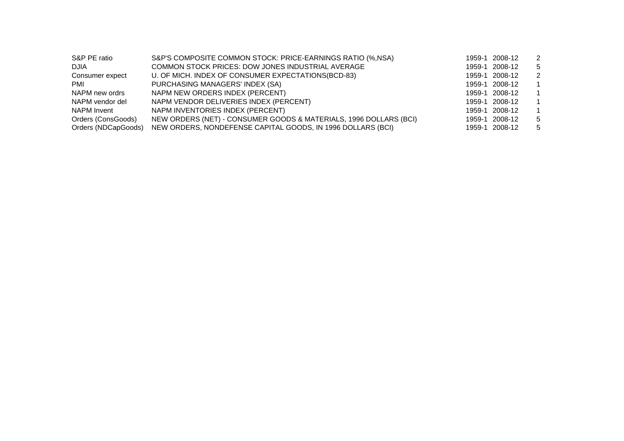| S&P PE ratio        | S&P'S COMPOSITE COMMON STOCK: PRICE-EARNINGS RATIO (%, NSA)       | 1959-1 2008-12 | -2           |
|---------------------|-------------------------------------------------------------------|----------------|--------------|
| <b>DJIA</b>         | COMMON STOCK PRICES: DOW JONES INDUSTRIAL AVERAGE                 | 1959-1 2008-12 | -5           |
| Consumer expect     | U. OF MICH. INDEX OF CONSUMER EXPECTATIONS(BCD-83)                | 1959-1 2008-12 | -2           |
| <b>PMI</b>          | PURCHASING MANAGERS' INDEX (SA)                                   | 1959-1 2008-12 | $\mathbf{1}$ |
| NAPM new ordrs      | NAPM NEW ORDERS INDEX (PERCENT)                                   | 1959-1 2008-12 | $\mathbf{1}$ |
| NAPM vendor del     | NAPM VENDOR DELIVERIES INDEX (PERCENT)                            | 1959-1 2008-12 | $\mathbf{1}$ |
| NAPM Invent         | NAPM INVENTORIES INDEX (PERCENT)                                  | 1959-1 2008-12 | $\mathbf 1$  |
| Orders (ConsGoods)  | NEW ORDERS (NET) - CONSUMER GOODS & MATERIALS, 1996 DOLLARS (BCI) | 1959-1 2008-12 | -5           |
| Orders (NDCapGoods) | NEW ORDERS, NONDEFENSE CAPITAL GOODS, IN 1996 DOLLARS (BCI)       | 1959-1 2008-12 | -5           |
|                     |                                                                   |                |              |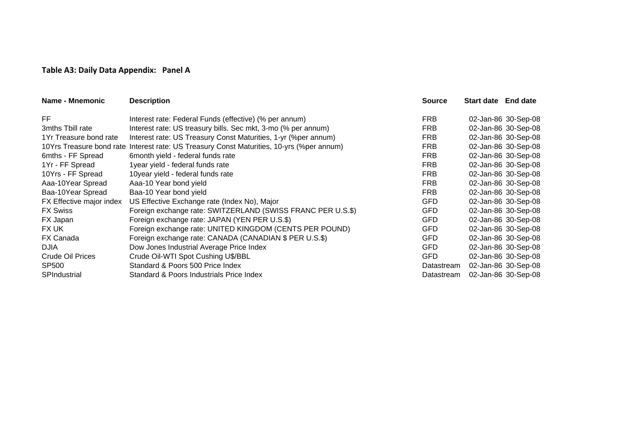#### **Table A3: Daily Data Appendix: Panel A**

| <b>Name - Mnemonic</b>   | <b>Description</b>                                                                        | <b>Source</b> | <b>Start date</b> End date |                     |
|--------------------------|-------------------------------------------------------------------------------------------|---------------|----------------------------|---------------------|
| FF                       | Interest rate: Federal Funds (effective) (% per annum)                                    | <b>FRB</b>    |                            | 02-Jan-86 30-Sep-08 |
| 3mths Tbill rate         | Interest rate: US treasury bills. Sec mkt, 3-mo (% per annum)                             | <b>FRB</b>    |                            | 02-Jan-86 30-Sep-08 |
| 1Yr Treasure bond rate   | Interest rate: US Treasury Const Maturities, 1-yr (% per annum)                           | <b>FRB</b>    |                            | 02-Jan-86 30-Sep-08 |
|                          | 10Yrs Treasure bond rate Interest rate: US Treasury Const Maturities, 10-yrs (%per annum) | <b>FRB</b>    |                            | 02-Jan-86 30-Sep-08 |
| 6mths - FF Spread        | 6month yield - federal funds rate                                                         | <b>FRB</b>    |                            | 02-Jan-86 30-Sep-08 |
| 1Yr - FF Spread          | 1year yield - federal funds rate                                                          | <b>FRB</b>    |                            | 02-Jan-86 30-Sep-08 |
| 10Yrs - FF Spread        | 10year yield - federal funds rate                                                         | <b>FRB</b>    |                            | 02-Jan-86 30-Sep-08 |
| Aaa-10Year Spread        | Aaa-10 Year bond yield                                                                    | <b>FRB</b>    |                            | 02-Jan-86 30-Sep-08 |
| Baa-10Year Spread        | Baa-10 Year bond yield                                                                    | <b>FRB</b>    |                            | 02-Jan-86 30-Sep-08 |
| FX Effective major index | US Effective Exchange rate (Index No), Major                                              | <b>GFD</b>    |                            | 02-Jan-86 30-Sep-08 |
| <b>FX Swiss</b>          | Foreign exchange rate: SWITZERLAND (SWISS FRANC PER U.S.\$)                               | <b>GFD</b>    |                            | 02-Jan-86 30-Sep-08 |
| FX Japan                 | Foreign exchange rate: JAPAN (YEN PER U.S.\$)                                             | <b>GFD</b>    |                            | 02-Jan-86 30-Sep-08 |
| FX UK                    | Foreign exchange rate: UNITED KINGDOM (CENTS PER POUND)                                   | <b>GFD</b>    |                            | 02-Jan-86 30-Sep-08 |
| <b>FX Canada</b>         | Foreign exchange rate: CANADA (CANADIAN \$ PER U.S.\$)                                    | <b>GFD</b>    |                            | 02-Jan-86 30-Sep-08 |
| <b>DJIA</b>              | Dow Jones Industrial Average Price Index                                                  | <b>GFD</b>    |                            | 02-Jan-86 30-Sep-08 |
| Crude Oil Prices         | Crude Oil-WTI Spot Cushing U\$/BBL                                                        | <b>GFD</b>    |                            | 02-Jan-86 30-Sep-08 |
| SP500                    | Standard & Poors 500 Price Index                                                          | Datastream    |                            | 02-Jan-86 30-Sep-08 |
| SPIndustrial             | Standard & Poors Industrials Price Index                                                  | Datastream    |                            | 02-Jan-86 30-Sep-08 |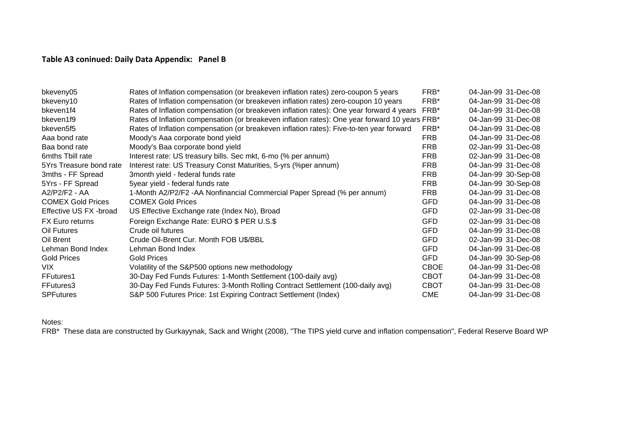## **Table A3 coninued: Daily Data Appendix: Panel B**

| bkeveny05                | Rates of Inflation compensation (or breakeven inflation rates) zero-coupon 5 years             | FRB*        | 04-Jan-99 31-Dec-08 |
|--------------------------|------------------------------------------------------------------------------------------------|-------------|---------------------|
| bkeveny10                | Rates of Inflation compensation (or breakeven inflation rates) zero-coupon 10 years            | FRB*        | 04-Jan-99 31-Dec-08 |
| bkeven1f4                | Rates of Inflation compensation (or breakeven inflation rates): One year forward 4 years       | FRB*        | 04-Jan-99 31-Dec-08 |
| bkeven1f9                | Rates of Inflation compensation (or breakeven inflation rates): One year forward 10 years FRB* |             | 04-Jan-99 31-Dec-08 |
| bkeven5f5                | Rates of Inflation compensation (or breakeven inflation rates): Five-to-ten year forward       | FRB*        | 04-Jan-99 31-Dec-08 |
| Aaa bond rate            | Moody's Aaa corporate bond yield                                                               | <b>FRB</b>  | 04-Jan-99 31-Dec-08 |
| Baa bond rate            | Moody's Baa corporate bond yield                                                               | <b>FRB</b>  | 02-Jan-99 31-Dec-08 |
| 6mths Tbill rate         | Interest rate: US treasury bills. Sec mkt, 6-mo (% per annum)                                  | <b>FRB</b>  | 02-Jan-99 31-Dec-08 |
| 5Yrs Treasure bond rate  | Interest rate: US Treasury Const Maturities, 5-yrs (%per annum)                                | <b>FRB</b>  | 04-Jan-99 31-Dec-08 |
| 3mths - FF Spread        | 3month yield - federal funds rate                                                              | <b>FRB</b>  | 04-Jan-99 30-Sep-08 |
| 5Yrs - FF Spread         | 5year yield - federal funds rate                                                               | <b>FRB</b>  | 04-Jan-99 30-Sep-08 |
| A2/P2/F2 - AA            | 1-Month A2/P2/F2 -AA Nonfinancial Commercial Paper Spread (% per annum)                        | <b>FRB</b>  | 04-Jan-99 31-Dec-08 |
| <b>COMEX Gold Prices</b> | <b>COMEX Gold Prices</b>                                                                       | <b>GFD</b>  | 04-Jan-99 31-Dec-08 |
| Effective US FX -broad   | US Effective Exchange rate (Index No), Broad                                                   | <b>GFD</b>  | 02-Jan-99 31-Dec-08 |
| <b>FX Euro returns</b>   | Foreign Exchange Rate: EURO \$ PER U.S.\$                                                      | <b>GFD</b>  | 02-Jan-99 31-Dec-08 |
| Oil Futures              | Crude oil futures                                                                              | <b>GFD</b>  | 04-Jan-99 31-Dec-08 |
| Oil Brent                | Crude Oil-Brent Cur. Month FOB U\$/BBL                                                         | <b>GFD</b>  | 02-Jan-99 31-Dec-08 |
| Lehman Bond Index        | Lehman Bond Index                                                                              | <b>GFD</b>  | 04-Jan-99 31-Dec-08 |
| <b>Gold Prices</b>       | <b>Gold Prices</b>                                                                             | <b>GFD</b>  | 04-Jan-99 30-Sep-08 |
| VIX.                     | Volatility of the S&P500 options new methodology                                               | <b>CBOE</b> | 04-Jan-99 31-Dec-08 |
| FFutures1                | 30-Day Fed Funds Futures: 1-Month Settlement (100-daily avg)                                   | <b>CBOT</b> | 04-Jan-99 31-Dec-08 |
| FFutures3                | 30-Day Fed Funds Futures: 3-Month Rolling Contract Settlement (100-daily avg)                  | <b>CBOT</b> | 04-Jan-99 31-Dec-08 |
| <b>SPFutures</b>         | S&P 500 Futures Price: 1st Expiring Contract Settlement (Index)                                | <b>CME</b>  | 04-Jan-99 31-Dec-08 |

Notes:

FRB\* These data are constructed by Gurkayynak, Sack and Wright (2008), "The TIPS yield curve and inflation compensation", Federal Reserve Board WP